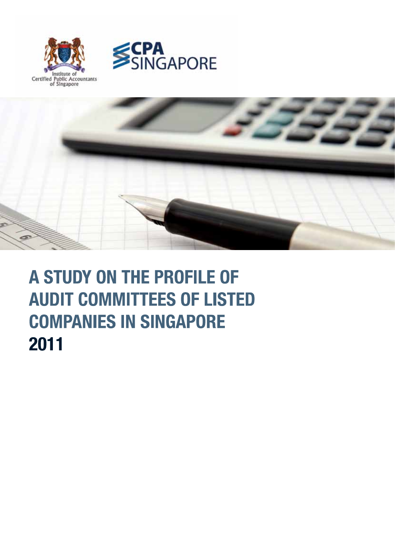





# A STUDY ON THE PROFILE OF **AUDIT COMMITTEES OF LISTED COMPANIES IN SINGAPORE** 2011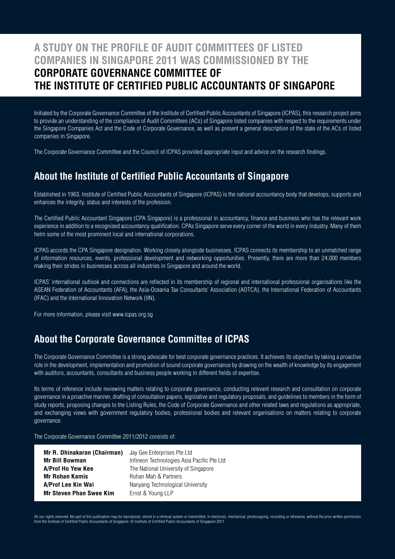## **A STUDY ON THE PROFILE OF AUDIT COMMITTEES OF LISTED COMPANIES IN SINGAPORE 2011 WAS COMMISSIONED BY THE CORPORATE GOVERNANCE COMMITTEE OF THE INSTITUTE OF CERTIFIED PUBLIC ACCOUNTANTS OF SINGAPORE**

Initiated by the Corporate Governance Committee of the Institute of Certified Public Accountants of Singapore (ICPAS), this research project aims to provide an understanding of the compliance of Audit Committees (ACs) of Singapore listed companies with respect to the requirements under the Singapore Companies Act and the Code of Corporate Governance, as well as present a general description of the state of the ACs of listed companies in Singapore.

The Corporate Governance Committee and the Council of ICPAS provided appropriate input and advice on the research findings.

### **About the Institute of Certified Public Accountants of Singapore**

Established in 1963, Institute of Certified Public Accountants of Singapore (ICPAS) is the national accountancy body that develops, supports and enhances the integrity, status and interests of the profession.

The Certified Public Accountant Singapore (CPA Singapore) is a professional in accountancy, finance and business who has the relevant work experience in addition to a recognised accountancy qualification. CPAs Singapore serve every corner of the world in every industry. Many of them helm some of the most prominent local and international corporations.

ICPAS accords the CPA Singapore designation. Working closely alongside businesses, ICPAS connects its membership to an unmatched range of information resources, events, professional development and networking opportunities. Presently, there are more than 24,000 members making their strides in businesses across all industries in Singapore and around the world.

ICPAS' international outlook and connections are reflected in its membership of regional and international professional organisations like the ASEAN Federation of Accountants (AFA), the Asia-Oceania Tax Consultants' Association (AOTCA), the International Federation of Accountants (IFAC) and the International Innovation Network (IIN).

For more information, please visit www.icpas.org.sg

### **About the Corporate Governance Committee of ICPAS**

The Corporate Governance Committee is a strong advocate for best corporate governance practices. It achieves its objective by taking a proactive role in the development, implementation and promotion of sound corporate governance by drawing on the wealth of knowledge by its engagement with auditors, accountants, consultants and business people working in different fields of expertise.

Its terms of reference include reviewing matters relating to corporate governance, conducting relevant research and consultation on corporate governance in a proactive manner, drafting of consultation papers, legislative and regulatory proposals, and guidelines to members in the form of study reports, proposing changes to the Listing Rules, the Code of Corporate Governance and other related laws and regulations as appropriate, and exchanging views with government regulatory bodies, professional bodies and relevant organisations on matters relating to corporate governance.

The Corporate Governance Committee 2011/2012 consists of:

| Mr R. Dhinakaran (Chairman)    | Jay Gee Enterprises Pte Ltd                |
|--------------------------------|--------------------------------------------|
| <b>Mr Bill Bowman</b>          | Infineon Technologies Asia Pacific Pte Ltd |
| A/Prof Ho Yew Kee              | The National University of Singapore       |
| <b>Mr Rohan Kamis</b>          | Rohan Mah & Partners                       |
| A/Prof Lee Kin Wai             | Nanyang Technological University           |
| <b>Mr Steven Phan Swee Kim</b> | Ernst & Young LLP                          |

All our rights reserved. No part of this publication may be reproduced, stored in a retrieval system or transmitted, in electronic, mechanical, photocopying, recording or otherwise, without the prior written permission from the Institute of Certified Public Accountants of Singapore. © Institute of Certified Public Accountants of Singapore 2011.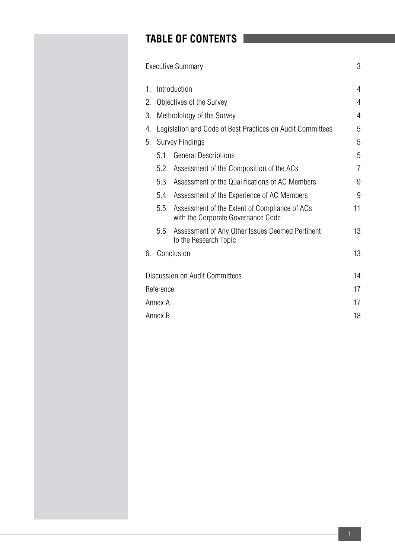# **TABLE OF CONTENTS**

|    |              | <b>Executive Summary</b>                                                            | 3              |  |  |  |  |  |  |  |
|----|--------------|-------------------------------------------------------------------------------------|----------------|--|--|--|--|--|--|--|
| 1. | Introduction |                                                                                     |                |  |  |  |  |  |  |  |
| 2. |              | Objectives of the Survey                                                            | 4              |  |  |  |  |  |  |  |
| 3. |              | Methodology of the Survey                                                           | $\overline{4}$ |  |  |  |  |  |  |  |
| 4. |              | Legislation and Code of Best Practices on Audit Committees                          | 5              |  |  |  |  |  |  |  |
| 5. |              | <b>Survey Findings</b>                                                              | 5              |  |  |  |  |  |  |  |
|    | 5.1          | <b>General Descriptions</b>                                                         | 5              |  |  |  |  |  |  |  |
|    | 5.2          | Assessment of the Composition of the ACs                                            | 7              |  |  |  |  |  |  |  |
|    | 5.3          | Assessment of the Qualifications of AC Members                                      | 9              |  |  |  |  |  |  |  |
|    | 5.4          | Assessment of the Experience of AC Members                                          | 9              |  |  |  |  |  |  |  |
|    | 5.5          | Assessment of the Extent of Compliance of ACs<br>with the Corporate Governance Code | 11             |  |  |  |  |  |  |  |
|    | 5.6          | Assessment of Any Other Issues Deemed Pertinent<br>to the Research Topic            | 13             |  |  |  |  |  |  |  |
| 6. |              | Conclusion                                                                          | 13             |  |  |  |  |  |  |  |
|    |              | Discussion on Audit Committees                                                      | 14             |  |  |  |  |  |  |  |
|    | Reference    |                                                                                     | 17             |  |  |  |  |  |  |  |
|    | Annex A      |                                                                                     | 17             |  |  |  |  |  |  |  |
|    | Annex B      |                                                                                     | 18             |  |  |  |  |  |  |  |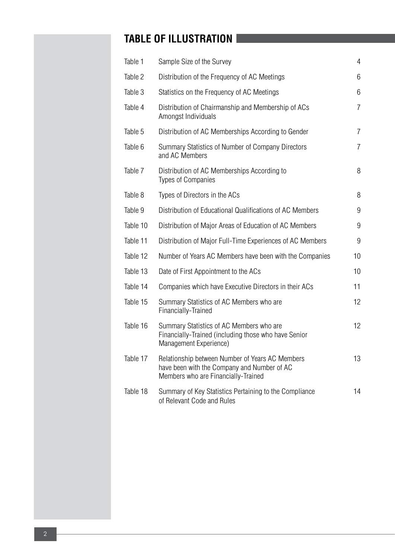# **TABLE OF ILLUSTRATION**

| Table 1  | Sample Size of the Survey                                                                                                             | $\overline{4}$ |
|----------|---------------------------------------------------------------------------------------------------------------------------------------|----------------|
| Table 2  | Distribution of the Frequency of AC Meetings                                                                                          | 6              |
| Table 3  | Statistics on the Frequency of AC Meetings                                                                                            | 6              |
| Table 4  | Distribution of Chairmanship and Membership of ACs<br>Amongst Individuals                                                             | $\overline{7}$ |
| Table 5  | Distribution of AC Memberships According to Gender                                                                                    | $\overline{7}$ |
| Table 6  | Summary Statistics of Number of Company Directors<br>and AC Members                                                                   | $\overline{7}$ |
| Table 7  | Distribution of AC Memberships According to<br><b>Types of Companies</b>                                                              | 8              |
| Table 8  | Types of Directors in the ACs                                                                                                         | 8              |
| Table 9  | Distribution of Educational Qualifications of AC Members                                                                              | 9              |
| Table 10 | Distribution of Major Areas of Education of AC Members                                                                                | 9              |
| Table 11 | Distribution of Major Full-Time Experiences of AC Members                                                                             | 9              |
| Table 12 | Number of Years AC Members have been with the Companies                                                                               | 10             |
| Table 13 | Date of First Appointment to the ACs                                                                                                  | 10             |
| Table 14 | Companies which have Executive Directors in their ACs                                                                                 | 11             |
| Table 15 | Summary Statistics of AC Members who are<br>Financially-Trained                                                                       | 12             |
| Table 16 | Summary Statistics of AC Members who are<br>Financially-Trained (including those who have Senior<br>Management Experience)            | 12             |
| Table 17 | Relationship between Number of Years AC Members<br>have been with the Company and Number of AC<br>Members who are Financially-Trained | 13             |
| Table 18 | Summary of Key Statistics Pertaining to the Compliance<br>of Relevant Code and Rules                                                  | 14             |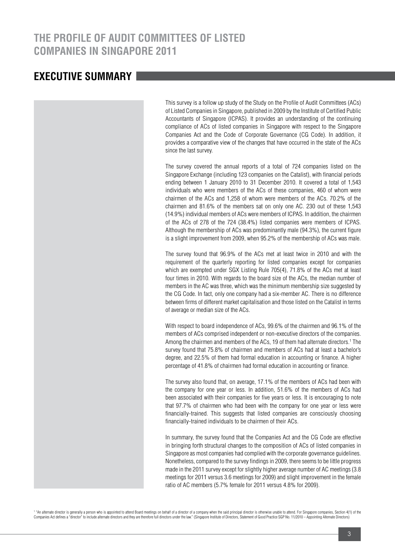## **THE PROFILE OF AUDIT COMMITTEES OF LISTED COMPANIES IN SINGAPORE 2011**

### **EXECUTIVE SUMMARY**

This survey is a follow up study of the Study on the Profile of Audit Committees (ACs) of Listed Companies in Singapore, published in 2009 by the Institute of Certified Public Accountants of Singapore (ICPAS). It provides an understanding of the continuing compliance of ACs of listed companies in Singapore with respect to the Singapore Companies Act and the Code of Corporate Governance (CG Code). In addition, it provides a comparative view of the changes that have occurred in the state of the ACs since the last survey.

The survey covered the annual reports of a total of 724 companies listed on the Singapore Exchange (including 123 companies on the Catalist), with financial periods ending between 1 January 2010 to 31 December 2010. It covered a total of 1,543 individuals who were members of the ACs of these companies, 460 of whom were chairmen of the ACs and 1,258 of whom were members of the ACs. 70.2% of the chairmen and 81.6% of the members sat on only one AC. 230 out of these 1,543 (14.9%) individual members of ACs were members of ICPAS. In addition, the chairmen of the ACs of 278 of the 724 (38.4%) listed companies were members of ICPAS. Although the membership of ACs was predominantly male (94.3%), the current figure is a slight improvement from 2009, when 95.2% of the membership of ACs was male.

The survey found that 96.9% of the ACs met at least twice in 2010 and with the requirement of the quarterly reporting for listed companies except for companies which are exempted under SGX Listing Rule 705(4), 71.8% of the ACs met at least four times in 2010. With regards to the board size of the ACs, the median number of members in the AC was three, which was the minimum membership size suggested by the CG Code. In fact, only one company had a six-member AC. There is no difference between firms of different market capitalisation and those listed on the Catalist in terms of average or median size of the ACs.

With respect to board independence of ACs, 99.6% of the chairmen and 96.1% of the members of ACs comprised independent or non-executive directors of the companies. Among the chairmen and members of the ACs, 19 of them had alternate directors.<sup>1</sup> The survey found that 75.8% of chairmen and members of ACs had at least a bachelor's degree, and 22.5% of them had formal education in accounting or finance. A higher percentage of 41.8% of chairmen had formal education in accounting or finance.

The survey also found that, on average, 17.1% of the members of ACs had been with the company for one year or less. In addition, 51.6% of the members of ACs had been associated with their companies for five years or less. It is encouraging to note that 97.7% of chairmen who had been with the company for one year or less were financially-trained. This suggests that listed companies are consciously choosing financially-trained individuals to be chairmen of their ACs.

In summary, the survey found that the Companies Act and the CG Code are effective in bringing forth structural changes to the composition of ACs of listed companies in Singapore as most companies had complied with the corporate governance guidelines. Nonetheless, compared to the survey findings in 2009, there seems to be little progress made in the 2011 survey except for slightly higher average number of AC meetings (3.8 meetings for 2011 versus 3.6 meetings for 2009) and slight improvement in the female ratio of AC members (5.7% female for 2011 versus 4.8% for 2009).

<sup>1</sup> "An alternate director is generally a person who is appointed to attend Board meetings on behalf of a director of a company when the said principal director is otherwise unable to attend. For Singapore companies, Secti Companies Act defines a "director" to include alternate directors and they are therefore full directors under the law." (Singapore Institute of Directors, Statement of Good Practice SGP No. 11/2010 - Appointing Alternate D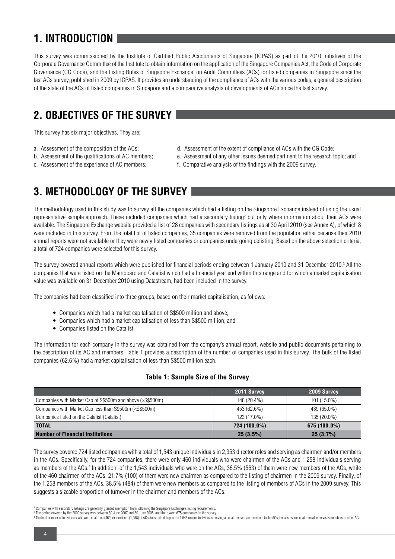# **1. INTRODUCTION**

This survey was commissioned by the Institute of Certified Public Accountants of Singapore (ICPAS) as part of the 2010 initiatives of the Corporate Governance Committee of the Institute to obtain information on the application of the Singapore Companies Act, the Code of Corporate Governance (CG Code), and the Listing Rules of Singapore Exchange, on Audit Committees (ACs) for listed companies in Singapore since the last ACs survey, published in 2009 by ICPAS. It provides an understanding of the compliance of ACs with the various codes, a general description of the state of the ACs of listed companies in Singapore and a comparative analysis of developments of ACs since the last survey.

# **2. OBJECTIVES OF THE SURVEY**

This survey has six major objectives. They are:

- 
- 
- 
- a. Assessment of the composition of the ACs; d. Assessment of the extent of compliance of ACs with the CG Code;
- b. Assessment of the qualifications of AC members; e. Assessment of any other issues deemed pertinent to the research topic; and
- c. Assessment of the experience of AC members; f. Comparative analysis of the findings with the 2009 survey.

# **3. METHODOLOGY OF THE SURVEY**

The methodology used in this study was to survey all the companies which had a listing on the Singapore Exchange instead of using the usual representative sample approach. These included companies which had a secondary listing<sup>2</sup> but only where information about their ACs were available. The Singapore Exchange website provided a list of 28 companies with secondary listings as at 30 April 2010 (see Annex A), of which 8 were included in this survey. From the total list of listed companies, 35 companies were removed from the population either because their 2010 annual reports were not available or they were newly listed companies or companies undergoing delisting. Based on the above selection criteria, a total of 724 companies were selected for this survey.

The survey covered annual reports which were published for financial periods ending between 1 January 2010 and 31 December 2010.<sup>3</sup> All the companies that were listed on the Mainboard and Catalist which had a financial year end within this range and for which a market capitalisation value was available on 31 December 2010 using Datastream, had been included in the survey.

The companies had been classified into three groups, based on their market capitalisation, as follows:

- Companies which had a market capitalisation of S\$500 million and above;
- Companies which had a market capitalisation of less than S\$500 million; and
- Companies listed on the Catalist.

The information for each company in the survey was obtained from the company's annual report, website and public documents pertaining to the description of its AC and members. Table 1 provides a description of the number of companies used in this survey. The bulk of the listed companies (62.6%) had a market capitalisation of less than S\$500 million each.

#### **Table 1: Sample Size of the Survey**

|                                                                                                                     | 2011 Survey  | 2009 Survey    |
|---------------------------------------------------------------------------------------------------------------------|--------------|----------------|
| Companies with Market Cap of S\$500m and above (>S\$500m)                                                           | 148 (20.4%)  | 101 (15.0%)    |
| Companies with Market Cap less than S\$500m ( <s\$500m)< td=""><td>453 (62.6%)</td><td>439 (65.0%)</td></s\$500m)<> | 453 (62.6%)  | 439 (65.0%)    |
| Companies listed on the Catalist (Catalist)                                                                         | 123 (17.0%)  | 135 (20.0%)    |
| <b>TOTAL</b>                                                                                                        | 724 (100.0%) | $675(100.0\%)$ |
| Number of Financial Institutions                                                                                    | $25(3.5\%)$  | 25(3.7%)       |

The survey covered 724 listed companies with a total of 1,543 unique individuals in 2,353 director roles and serving as chairmen and/or members in the ACs. Specifically, for the 724 companies, there were only 460 individuals who were chairmen of the ACs and 1,258 individuals serving as members of the ACs.4 In addition, of the 1,543 individuals who were on the ACs, 36.5% (563) of them were new members of the ACs, while of the 460 chairmen of the ACs, 21.7% (100) of them were new chairmen as compared to the listing of chairmen in the 2009 survey. Finally, of the 1,258 members of the ACs, 38.5% (484) of them were new members as compared to the listing of members of ACs in the 2009 survey. This suggests a sizeable proportion of turnover in the chairmen and members of the ACs.

<sup>2</sup> Companies with secondary listings are generally granted exemption from following the Singapore Exchange's listing requirements.

<sup>3</sup> The period covered by the 2009 survey was between 30 June 2007 and 30 June 2008, and there were 675 companies in the survey.

The total number of individuals who were chairmen (460) or members (1,258) of ACs does not add up to the 1,543 unique individuals serving as chairmen and/or members in the ACs, because some chairmen also serve as members i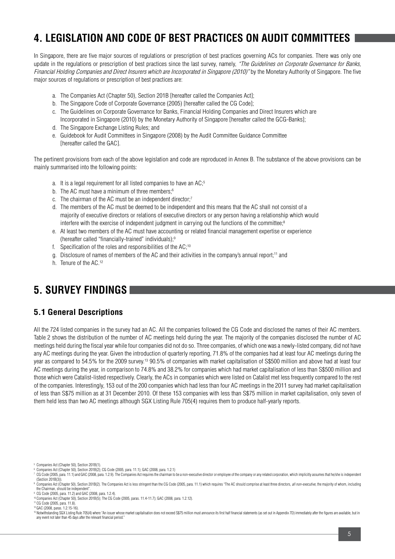# **4. LEGISLATION AND CODE OF BEST PRACTICES ON AUDIT COMMITTEES**

In Singapore, there are five major sources of regulations or prescription of best practices governing ACs for companies. There was only one update in the regulations or prescription of best practices since the last survey, namely, "The Guidelines on Corporate Governance for Banks, Financial Holding Companies and Direct Insurers which are Incorporated in Singapore (2010)" by the Monetary Authority of Singapore. The five major sources of regulations or prescription of best practices are:

- a. The Companies Act (Chapter 50), Section 201B [hereafter called the Companies Act];
- b. The Singapore Code of Corporate Governance (2005) [hereafter called the CG Code];
- c. The Guidelines on Corporate Governance for Banks, Financial Holding Companies and Direct Insurers which are Incorporated in Singapore (2010) by the Monetary Authority of Singapore [hereafter called the GCG-Banks];
- d. The Singapore Exchange Listing Rules; and
- e. Guidebook for Audit Committees in Singapore (2008) by the Audit Committee Guidance Committee [hereafter called the GAC].

The pertinent provisions from each of the above legislation and code are reproduced in Annex B. The substance of the above provisions can be mainly summarised into the following points:

- a. It is a legal requirement for all listed companies to have an AC;5
- b. The AC must have a minimum of three members;<sup>6</sup>
- c. The chairman of the AC must be an independent director;<sup>7</sup>
- d. The members of the AC must be deemed to be independent and this means that the AC shall not consist of a majority of executive directors or relations of executive directors or any person having a relationship which would interfere with the exercise of independent judgment in carrying out the functions of the committee;<sup>8</sup>
- e. At least two members of the AC must have accounting or related financial management expertise or experience (hereafter called "financially-trained" individuals);9
- f. Specification of the roles and responsibilities of the AC;10
- g. Disclosure of names of members of the AC and their activities in the company's annual report;<sup>11</sup> and
- h. Tenure of the AC.12

# **5. SURVEY FINDINGS**

### **5.1 General Descriptions**

All the 724 listed companies in the survey had an AC. All the companies followed the CG Code and disclosed the names of their AC members. Table 2 shows the distribution of the number of AC meetings held during the year. The majority of the companies disclosed the number of AC meetings held during the fiscal year while four companies did not do so. Three companies, of which one was a newly-listed company, did not have any AC meetings during the year. Given the introduction of quarterly reporting, 71.8% of the companies had at least four AC meetings during the year as compared to 54.5% for the 2009 survey.13 90.5% of companies with market capitalisation of S\$500 million and above had at least four AC meetings during the year, in comparison to 74.8% and 38.2% for companies which had market capitalisation of less than S\$500 million and those which were Catalist-listed respectively. Clearly, the ACs in companies which were listed on Catalist met less frequently compared to the rest of the companies. Interestingly, 153 out of the 200 companies which had less than four AC meetings in the 2011 survey had market capitalisation of less than S\$75 million as at 31 December 2010. Of these 153 companies with less than S\$75 million in market capitalisation, only seven of them held less than two AC meetings although SGX Listing Rule 705(4) requires them to produce half-yearly reports.

<sup>5</sup> Companies Act (Chapter 50), Section 201B(1).

<sup>6</sup> Companies Act (Chapter 50), Section 201B(2); CG Code (2005, para. 11.1); GAC (2008, para. 1.2.1)

CG Code (2005, para, 11.1) and GAC (2008, para, 1.2.9). The Companies Act requires the chairman to be a non-executive director or employee of the company or any related corporation, which implicitly assumes that he/she is (Section 201B(3)).

Companies Act (Chapter 50), Section 201B(2). The Companies Act is less stringent than the CG Code (2005, para. 11.1) which requires "The AC should comprise at least three directors, all non-executive, the majority of whom, the Chairman, should be independent". 9 CG Code (2005, para. 11.2) and GAC (2008, para. 1.2.4).

<sup>10</sup> Companies Act (Chapter 50), Section 201B(5); The CG Code (2005, paras. 11.4-11.7); GAC (2008, para. 1.2.12).

<sup>11</sup> CG Code (2005, para. 11.8).

<sup>&</sup>lt;sup>12</sup> GAC (2008, paras. 1.2.15-16).<br><sup>13</sup> Notwithstanding SGX Listing Rule 705(4) where "An issuer whose market capitalisation does not exceed S\$75 million must announce its first half financial statements (as set out in App any event not later than 45 days after the relevant financial period."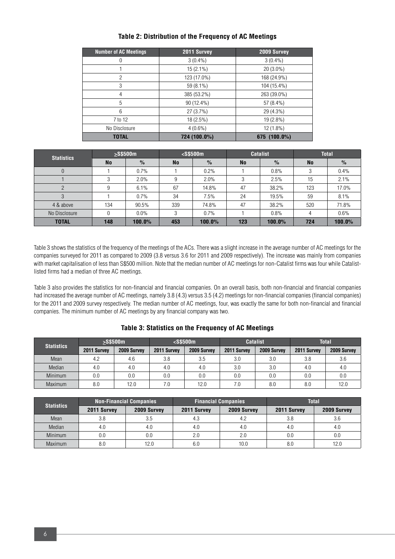| <b>Number of AC Meetings</b> | 2011 Survey  | 2009 Survey  |
|------------------------------|--------------|--------------|
| 0                            | $3(0.4\%)$   | $3(0.4\%)$   |
|                              | $15(2.1\%)$  | $20(3.0\%)$  |
| $\overline{2}$               | 123 (17.0%)  | 168 (24.9%)  |
| 3                            | 59 (8.1%)    | 104 (15.4%)  |
| 4                            | 385 (53.2%)  | 263 (39.0%)  |
| 5                            | 90 (12.4%)   | 57 (8.4%)    |
| 6                            | 27(3.7%)     | 29 (4.3%)    |
| 7 to 12                      | $18(2.5\%)$  | $19(2.8\%)$  |
| No Disclosure                | $4(0.6\%)$   | 12 (1.8%)    |
| <b>TOTAL</b>                 | 724 (100.0%) | 675 (100.0%) |

#### **Table 2: Distribution of the Frequency of AC Meetings**

| <b>Statistics</b> | $>$ S\$500 $m$ |               | $<$ S\$500 $m$ |               |           | <b>Catalist</b> | <b>Total</b> |               |
|-------------------|----------------|---------------|----------------|---------------|-----------|-----------------|--------------|---------------|
|                   | <b>No</b>      | $\frac{9}{6}$ | <b>No</b>      | $\frac{9}{6}$ | <b>No</b> | $\%$            | <b>No</b>    | $\frac{0}{0}$ |
| $\overline{0}$    |                | 0.7%          |                | 0.2%          |           | 0.8%            |              | 0.4%          |
|                   | 3              | 2.0%          | 9              | 2.0%          | 3         | 2.5%            | 15           | 2.1%          |
| 2                 | 9              | 6.1%          | 67             | 14.8%         | 47        | 38.2%           | 123          | 17.0%         |
| 3                 |                | 0.7%          | 34             | 7.5%          | 24        | 19.5%           | 59           | 8.1%          |
| 4 & above         | 134            | 90.5%         | 339            | 74.8%         | 47        | 38.2%           | 520          | 71.8%         |
| No Disclosure     | 0              | $0.0\%$       | 3              | 0.7%          |           | 0.8%            | 4            | 0.6%          |
| <b>TOTAL</b>      | 148            | 100.0%        | 453            | $100.0\%$     | 123       | $100.0\%$       | 724          | 100.0%        |

Table 3 shows the statistics of the frequency of the meetings of the ACs. There was a slight increase in the average number of AC meetings for the companies surveyed for 2011 as compared to 2009 (3.8 versus 3.6 for 2011 and 2009 respectively). The increase was mainly from companies with market capitalisation of less than S\$500 million. Note that the median number of AC meetings for non-Catalist firms was four while Catalistlisted firms had a median of three AC meetings.

Table 3 also provides the statistics for non-financial and financial companies. On an overall basis, both non-financial and financial companies had increased the average number of AC meetings, namely 3.8 (4.3) versus 3.5 (4.2) meetings for non-financial companies (financial companies) for the 2011 and 2009 survey respectively. The median number of AC meetings, four, was exactly the same for both non-financial and financial companies. The minimum number of AC meetings by any financial company was two.

| <b>Statistics</b> | $>$ S\$500 $m$ |             | $<$ S\$500m |             |             | <b>Catalist</b> | <b>Total</b> |             |  |  |
|-------------------|----------------|-------------|-------------|-------------|-------------|-----------------|--------------|-------------|--|--|
|                   | 2011 Survey    | 2009 Survey | 2011 Survey | 2009 Survey | 2011 Survey | 2009 Survey     | 2011 Survey  | 2009 Survey |  |  |
| Mean              | 4.2            | 4.6         | 3.8         | 3.5         | 3.0         | 3.0             | 3.8          | 3.6         |  |  |
| Median            | 4.0            | 4.0         | 4.0         | 4.0         | 3.0         | 3.0             | 4.0          | 4.0         |  |  |
| Minimum           | 0.0            | 0.0         | 0.0         | 0.0         | 0.0         | 0.0             | 0.0          | 0.0         |  |  |
| Maximum           | 8.0            | 12.0        | 7.0         | 12.0        | 7.0         | 8.0             | 8.0          | 12.0        |  |  |

#### **Table 3: Statistics on the Frequency of AC Meetings**

| <b>Statistics</b> |             | Non-Financial Companies |             | <b>Financial Companies</b> | <b>Total</b>   |             |  |
|-------------------|-------------|-------------------------|-------------|----------------------------|----------------|-------------|--|
|                   | 2011 Survey | 2009 Survey             | 2011 Survey | 2009 Survey                | 2011 Survey    | 2009 Survey |  |
| Mean              | 3.8         | 3.5                     | 4.3         | 4.2                        | 3.8            | 3.6         |  |
| Median            | 4.0         | 4.0                     | 4.0         | 4.0                        | 4.0            | 4.0         |  |
| Minimum           | 0.0         | 0.0                     | 2.0         | 2.0                        | 0.0            | 0.0         |  |
| <b>Maximum</b>    | 8.0         | 12.0                    | 6.0         | 10.0                       | 8 <sub>0</sub> | 12.0        |  |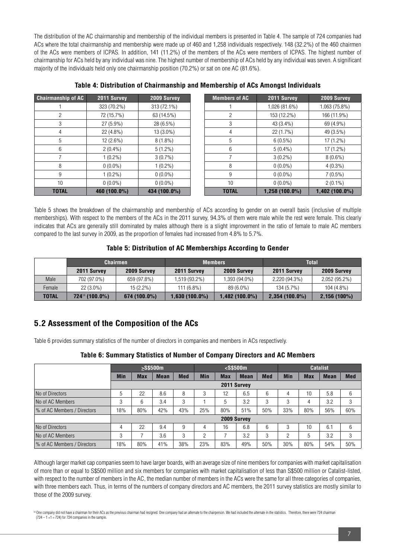The distribution of the AC chairmanship and membership of the individual members is presented in Table 4. The sample of 724 companies had ACs where the total chairmanship and membership were made up of 460 and 1,258 individuals respectively. 148 (32.2%) of the 460 chairmen of the ACs were members of ICPAS. In addition, 141 (11.2%) of the members of the ACs were members of ICPAS. The highest number of chairmanship for ACs held by any individual was nine. The highest number of membership of ACs held by any individual was seven. A significant majority of the individuals held only one chairmanship position (70.2%) or sat on one AC (81.6%).

| <b>Chairmanship of AC</b> | 2011 Survey  | 2009 Survey  | <b>Members of AC</b> | 2011 Survey      | 2009 Survey      |
|---------------------------|--------------|--------------|----------------------|------------------|------------------|
|                           | 323 (70.2%)  | 313 (72.1%)  |                      | 1,026 (81.6%)    | 1,063 (75.8%)    |
| 2                         | 72 (15.7%)   | 63 (14.5%)   | 2                    | 153 (12.2%)      | 166 (11.9%)      |
| 3                         | $27(5.9\%)$  | 28 (6.5%)    | 3                    | 43 (3.4%)        | 69 (4.9%)        |
| 4                         | 22 (4.8%)    | $13(3.0\%)$  | 4                    | 22(1.7%)         | 49 (3.5%)        |
| 5                         | $12(2.6\%)$  | $8(1.8\%)$   | 5                    | $6(0.5\%)$       | $17(1.2\%)$      |
| 6                         | $2(0.4\%)$   | $5(1.2\%)$   | 6                    | $5(0.4\%)$       | $17(1.2\%)$      |
|                           | $1(0.2\%)$   | $3(0.7\%)$   |                      | $3(0.2\%)$       | $8(0.6\%)$       |
| 8                         | $0(0.0\%)$   | $1(0.2\%)$   | 8                    | $0(0.0\%)$       | $4(0.3\%)$       |
| 9                         | $1(0.2\%)$   | $0(0.0\%)$   | 9                    | $0(0.0\%)$       | $7(0.5\%)$       |
| 10                        | $0(0.0\%)$   | $0(0.0\%)$   | 10                   | $0(0.0\%)$       | $2(0.1\%)$       |
| <b>TOTAL</b>              | 460 (100.0%) | 434 (100.0%) | <b>TOTAL</b>         | $1,258(100.0\%)$ | $1,402(100.0\%)$ |

**Table 4: Distribution of Chairmanship and Membership of ACs Amongst Individuals**

Table 5 shows the breakdown of the chairmanship and membership of ACs according to gender on an overall basis (inclusive of multiple memberships). With respect to the members of the ACs in the 2011 survey, 94.3% of them were male while the rest were female. This clearly indicates that ACs are generally still dominated by males although there is a slight improvement in the ratio of female to male AC members compared to the last survey in 2009, as the proportion of females had increased from 4.8% to 5.7%.

#### **Table 5: Distribution of AC Memberships According to Gender**

|              | <b>Chairmen</b>            |              |                  | <b>Members</b> | <b>Total</b>     |                |  |
|--------------|----------------------------|--------------|------------------|----------------|------------------|----------------|--|
|              | 2011 Survey                | 2009 Survey  | 2011 Survey      | 2009 Survey    | 2011 Survey      | 2009 Survey    |  |
| Male         | 702 (97.0%)                | 659 (97.8%)  | 1,519 (93.2%)    | 1,393 (94.0%)  | 2,220 (94.3%)    | 2,052 (95.2%)  |  |
| Female       | $22(3.0\%)$                | $15(2.2\%)$  | $111(6.8\%)$     | 89 (6.0%)      | 134 (5.7%)       | $104(4.8\%)$   |  |
| <b>TOTAL</b> | 724 <sup>14</sup> (100.0%) | 674 (100.0%) | $1,630(100.0\%)$ | ,482 (100.0%)  | $2,354(100.0\%)$ | $2,156(100\%)$ |  |

### **5.2 Assessment of the Composition of the ACs**

Table 6 provides summary statistics of the number of directors in companies and members in ACs respectively.

|  | Table 6: Summary Statistics of Number of Company Directors and AC Members |  |
|--|---------------------------------------------------------------------------|--|
|  |                                                                           |  |

|                              | $>$ S\$500 $m$ |            |             | $\sim$ S\$500m |            |            | <b>Catalist</b> |            |            |            |             |            |
|------------------------------|----------------|------------|-------------|----------------|------------|------------|-----------------|------------|------------|------------|-------------|------------|
|                              | <b>Min</b>     | <b>Max</b> | <b>Mean</b> | <b>Med</b>     | <b>Min</b> | <b>Max</b> | <b>Mean</b>     | <b>Med</b> | <b>Min</b> | <b>Max</b> | <b>Mean</b> | <b>Med</b> |
|                              |                |            |             |                |            |            | 2011 Survey     |            |            |            |             |            |
| No of Directors              | 5              | 22         | 8.6         | 8              | 3          | 12         | 6.5             | 6          | 4          | 10         | 5.8         | 6          |
| No of AC Members             | 3              | 6          | 3.4         | 3              |            | 5          | 3.2             | 3          | 3          | 4          | 3.2         | 3          |
| │% of AC Members / Directors | 18%            | 80%        | 42%         | 43%            | 25%        | 80%        | 51%             | 50%        | 33%        | 80%        | 56%         | 60%        |
|                              |                |            |             |                |            |            | 2009 Survey     |            |            |            |             |            |
| No of Directors              | 4              | 22         | 9.4         | 9              | 4          | 16         | 6.8             | 6          | 3          | 10         | 6.1         | 6          |
| No of AC Members             | 3              | ∍          | 3.6         | 3              | റ          |            | 3.2             | 3          | 2          | 5          | 3.2         | 3          |
| % of AC Members / Directors  | 18%            | 80%        | 41%         | 38%            | 23%        | 83%        | 49%             | 50%        | 30%        | 80%        | 54%         | 50%        |

Although larger market cap companies seem to have larger boards, with an average size of nine members for companies with market capitalisation of more than or equal to S\$500 million and six members for companies with market capitalisation of less than S\$500 million or Catalist-listed, with respect to the number of members in the AC, the median number of members in the ACs were the same for all three categories of companies, with three members each. Thus, in terms of the numbers of company directors and AC members, the 2011 survey statistics are mostly similar to those of the 2009 survey.

14 One company did not have a chairman for their ACs as the previous chairman had resigned. One company had an alternate to the chairperson. We had included the alternate in the statistics. Therefore, there were 724 chairm  $(724 - 1 + 1 = 724)$  for 724 companies in the sample.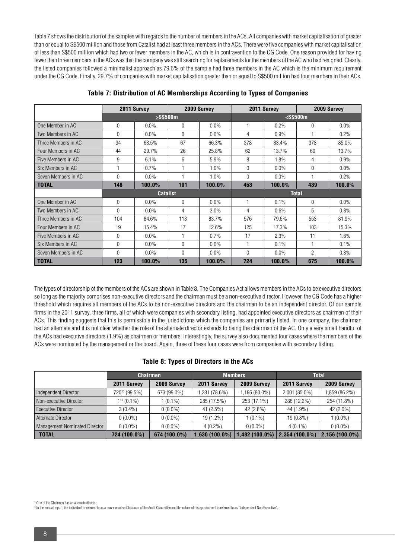Table 7 shows the distribution of the samples with regards to the number of members in the ACs. All companies with market capitalisation of greater than or equal to S\$500 million and those from Catalist had at least three members in the ACs. There were five companies with market capitalisation of less than S\$500 million which had two or fewer members in the AC, which is in contravention to the CG Code. One reason provided for having fewer than three members in the ACs was that the company was still searching for replacements for the members of the AC who had resigned. Clearly, the listed companies followed a minimalist approach as 79.6% of the sample had three members in the AC which is the minimum requirement under the CG Code. Finally, 29.7% of companies with market capitalisation greater than or equal to S\$500 million had four members in their ACs.

|                     | 2011 Survey<br>2009 Survey |         | 2011 Survey     |         | 2009 Survey  |         |                |         |
|---------------------|----------------------------|---------|-----------------|---------|--------------|---------|----------------|---------|
|                     |                            |         | $>$ S\$500m     |         |              |         | $<$ S\$500m    |         |
| One Member in AC    | $\Omega$                   | $0.0\%$ | $\Omega$        | $0.0\%$ |              | 0.2%    | $\Omega$       | $0.0\%$ |
| Two Members in AC   | $\Omega$                   | $0.0\%$ | $\Omega$        | $0.0\%$ | 4            | $0.9\%$ |                | 0.2%    |
| Three Members in AC | 94                         | 63.5%   | 67              | 66.3%   | 378          | 83.4%   | 373            | 85.0%   |
| Four Members in AC  | 44                         | 29.7%   | 26              | 25.8%   | 62           | 13.7%   | 60             | 13.7%   |
| Five Members in AC  | 9                          | 6.1%    | 6               | 5.9%    | 8            | 1.8%    | 4              | 0.9%    |
| Six Members in AC   |                            | 0.7%    |                 | 1.0%    | $\Omega$     | $0.0\%$ | $\theta$       | $0.0\%$ |
| Seven Members in AC | $\Omega$                   | $0.0\%$ |                 | 1.0%    | $\Omega$     | $0.0\%$ |                | 0.2%    |
| <b>TOTAL</b>        | 148                        | 100.0%  | 101             | 100.0%  | 453          | 100.0%  | 439            | 100.0%  |
|                     |                            |         | <b>Catalist</b> |         | <b>Total</b> |         |                |         |
| One Member in AC    | $\mathbf 0$                | $0.0\%$ | $\Omega$        | $0.0\%$ |              | 0.1%    | $\Omega$       | $0.0\%$ |
| Two Members in AC   | $\Omega$                   | $0.0\%$ | 4               | 3.0%    | 4            | 0.6%    | 5              | 0.8%    |
| Three Members in AC | 104                        | 84.6%   | 113             | 83.7%   | 576          | 79.6%   | 553            | 81.9%   |
| Four Members in AC  | 19                         | 15.4%   | 17              | 12.6%   | 125          | 17.3%   | 103            | 15.3%   |
| Five Members in AC  | $\Omega$                   | $0.0\%$ | 1               | 0.7%    | 17           | 2.3%    | 11             | 1.6%    |
| Six Members in AC   | $\Omega$                   | $0.0\%$ | $\Omega$        | $0.0\%$ |              | 0.1%    |                | 0.1%    |
| Seven Members in AC | $\Omega$                   | $0.0\%$ | $\Omega$        | 0.0%    | $\Omega$     | 0.0%    | $\overline{2}$ | 0.3%    |
| <b>TOTAL</b>        | 123                        | 100.0%  | 135             | 100.0%  | 724          | 100.0%  | 675            | 100.0%  |

**Table 7: Distribution of AC Memberships According to Types of Companies**

The types of directorship of the members of the ACs are shown in Table 8. The Companies Act allows members in the ACs to be executive directors so long as the majority comprises non-executive directors and the chairman must be a non-executive director. However, the CG Code has a higher threshold which requires all members of the ACs to be non-executive directors and the chairman to be an independent director. Of our sample firms in the 2011 survey, three firms, all of which were companies with secondary listing, had appointed executive directors as chairmen of their ACs. This finding suggests that this is permissible in the jurisdictions which the companies are primarily listed. In one company, the chairman had an alternate and it is not clear whether the role of the alternate director extends to being the chairman of the AC. Only a very small handful of the ACs had executive directors (1.9%) as chairmen or members. Interestingly, the survey also documented four cases where the members of the ACs were nominated by the management or the board. Again, three of these four cases were from companies with secondary listing.

#### **Table 8: Types of Directors in the ACs**

|                               | <b>Chairmen</b>           |              |                  | <b>Members</b>  | <b>Total</b>     |                  |  |
|-------------------------------|---------------------------|--------------|------------------|-----------------|------------------|------------------|--|
|                               | 2011 Survey               | 2009 Survey  | 2011 Survey      | 2009 Survey     | 2011 Survey      | 2009 Survey      |  |
| Independent Director          | 720 <sup>15</sup> (99.5%) | 673 (99.0%)  | 1,281 (78.6%)    | 1,186 (80.0%)   | 2,001 (85.0%)    | 1,859 (86.2%)    |  |
| Non-executive Director        | $1^{16}$ (0.1%)           | $1(0.1\%)$   | 285 (17.5%)      | 253 (17.1%)     | 286 (12.2%)      | 254 (11.8%)      |  |
| <b>Executive Director</b>     | $3(0.4\%)$                | $0(0.0\%)$   | 41 (2.5%)        | 42 (2.8%)       | 44 (1.9%)        | 42 (2.0%)        |  |
| Alternate Director            | $0(0.0\%)$                | $0(0.0\%)$   | 19 (1.2%)        | $1(0.1\%)$      | $19(0.8\%)$      | $1(0.0\%)$       |  |
| Management Nominated Director | $0(0.0\%)$                | $0(0.0\%)$   | $4(0.2\%)$       | $0(0.0\%)$      | $4(0.1\%)$       | $0(0.0\%)$       |  |
| <b>TOTAL</b>                  | 724 (100.0%)              | 674 (100.0%) | $1,630(100.0\%)$ | $,482$ (100.0%) | $2,354(100.0\%)$ | $2,156(100.0\%)$ |  |

16 In the annual report, the individual is referred to as a non-executive Chairman of the Audit Committee and the nature of his appointment is referred to as "Independent Non Executive".

<sup>15</sup> One of the Chairmen has an alternate director.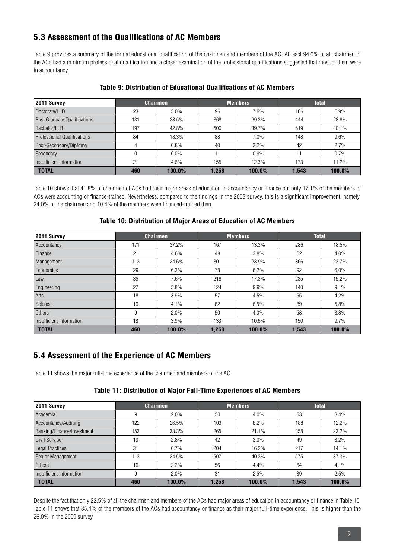### **5.3 Assessment of the Qualifications of AC Members**

Table 9 provides a summary of the formal educational qualification of the chairmen and members of the AC. At least 94.6% of all chairmen of the ACs had a minimum professional qualification and a closer examination of the professional qualifications suggested that most of them were in accountancy.

| 2011 Survey                        |     | <b>Chairmen</b> |       | <b>Members</b> |       | <b>Total</b> |
|------------------------------------|-----|-----------------|-------|----------------|-------|--------------|
| Doctorate/LLD                      | 23  | 5.0%            | 96    | 7.6%           | 106   | 6.9%         |
| Post Graduate Qualifications       | 131 | 28.5%           | 368   | 29.3%          | 444   | 28.8%        |
| Bachelor/LLB                       | 197 | 42.8%           | 500   | 39.7%          | 619   | 40.1%        |
| <b>Professional Qualifications</b> | 84  | 18.3%           | 88    | 7.0%           | 148   | 9.6%         |
| Post-Secondary/Diploma             |     | 0.8%            | 40    | 3.2%           | 42    | 2.7%         |
| Secondary                          |     | 0.0%            | 11    | 0.9%           | 11    | 0.7%         |
| Insufficient Information           | 21  | 4.6%            | 155   | 12.3%          | 173   | 11.2%        |
| <b>TOTAL</b>                       | 460 | 100.0%          | 1.258 | 100.0%         | 1.543 | 100.0%       |

#### **Table 9: Distribution of Educational Qualifications of AC Members**

Table 10 shows that 41.8% of chairmen of ACs had their major areas of education in accountancy or finance but only 17.1% of the members of ACs were accounting or finance-trained. Nevertheless, compared to the findings in the 2009 survey, this is a significant improvement, namely, 24.0% of the chairmen and 10.4% of the members were financed-trained then.

#### **Table 10: Distribution of Major Areas of Education of AC Members**

| 2011 Survey              |     | <b>Chairmen</b> |       | <b>Members</b> | <b>Total</b> |        |
|--------------------------|-----|-----------------|-------|----------------|--------------|--------|
| Accountancy              | 171 | 37.2%           | 167   | 13.3%          | 286          | 18.5%  |
| Finance                  | 21  | 4.6%            | 48    | 3.8%           | 62           | 4.0%   |
| Management               | 113 | 24.6%           | 301   | 23.9%          | 366          | 23.7%  |
| Economics                | 29  | 6.3%            | 78    | 6.2%           | 92           | 6.0%   |
| Law                      | 35  | 7.6%            | 218   | 17.3%          | 235          | 15.2%  |
| Engineering              | 27  | 5.8%            | 124   | 9.9%           | 140          | 9.1%   |
| Arts                     | 18  | $3.9\%$         | 57    | 4.5%           | 65           | 4.2%   |
| Science                  | 19  | 4.1%            | 82    | 6.5%           | 89           | 5.8%   |
| Others                   | 9   | 2.0%            | 50    | 4.0%           | 58           | 3.8%   |
| Insufficient information | 18  | 3.9%            | 133   | 10.6%          | 150          | 9.7%   |
| <b>TOTAL</b>             | 460 | 100.0%          | 1,258 | 100.0%         | 1,543        | 100.0% |

### **5.4 Assessment of the Experience of AC Members**

Table 11 shows the major full-time experience of the chairmen and members of the AC.

#### **Table 11: Distribution of Major Full-Time Experiences of AC Members**

| 2011 Survey                | <b>Chairmen</b> |           |       | <b>Members</b> | <b>Total</b> |        |  |
|----------------------------|-----------------|-----------|-------|----------------|--------------|--------|--|
| Academia                   | 9               | 2.0%      | 50    | 4.0%           | 53           | 3.4%   |  |
| Accountancy/Auditing       | 122             | 26.5%     | 103   | 8.2%           | 188          | 12.2%  |  |
| Banking/Finance/Investment | 153             | 33.3%     | 265   | 21.1%          | 358          | 23.2%  |  |
| Civil Service              | 13              | 2.8%      | 42    | 3.3%           | 49           | 3.2%   |  |
| Legal Practices            | 31              | 6.7%      | 204   | 16.2%          | 217          | 14.1%  |  |
| Senior Management          | 113             | 24.5%     | 507   | 40.3%          | 575          | 37.3%  |  |
| Others                     | 10              | 2.2%      | 56    | 4.4%           | 64           | 4.1%   |  |
| Insufficient Information   |                 | 2.0%      | 31    | 2.5%           | 39           | 2.5%   |  |
| <b>TOTAL</b>               | 460             | $100.0\%$ | 1,258 | 100.0%         | 1.543        | 100.0% |  |

Despite the fact that only 22.5% of all the chairmen and members of the ACs had major areas of education in accountancy or finance in Table 10, Table 11 shows that 35.4% of the members of the ACs had accountancy or finance as their major full-time experience. This is higher than the 26.0% in the 2009 survey.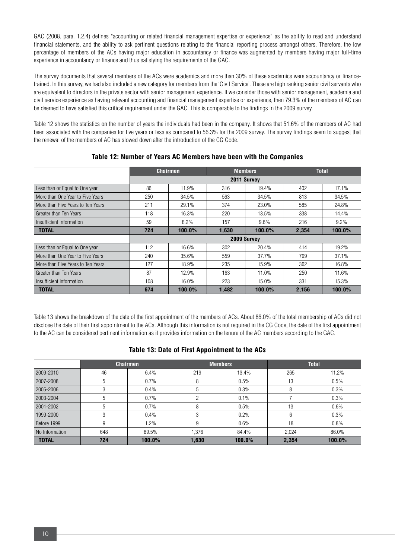GAC (2008, para. 1.2.4) defines "accounting or related financial management expertise or experience" as the ability to read and understand financial statements, and the ability to ask pertinent questions relating to the financial reporting process amongst others. Therefore, the low percentage of members of the ACs having major education in accountancy or finance was augmented by members having major full-time experience in accountancy or finance and thus satisfying the requirements of the GAC.

The survey documents that several members of the ACs were academics and more than 30% of these academics were accountancy or financetrained. In this survey, we had also included a new category for members from the 'Civil Service'. These are high ranking senior civil servants who are equivalent to directors in the private sector with senior management experience. If we consider those with senior management, academia and civil service experience as having relevant accounting and financial management expertise or experience, then 79.3% of the members of AC can be deemed to have satisfied this critical requirement under the GAC. This is comparable to the findings in the 2009 survey.

Table 12 shows the statistics on the number of years the individuals had been in the company. It shows that 51.6% of the members of AC had been associated with the companies for five years or less as compared to 56.3% for the 2009 survey. The survey findings seem to suggest that the renewal of the members of AC has slowed down after the introduction of the CG Code.

|                                   | <b>Chairmen</b> |           |       | <b>Members</b> | <b>Total</b> |        |
|-----------------------------------|-----------------|-----------|-------|----------------|--------------|--------|
|                                   |                 |           |       | 2011 Survey    |              |        |
| Less than or Equal to One year    | 86              | 11.9%     | 316   | 19.4%          | 402          | 17.1%  |
| More than One Year to Five Years  | 250             | 34.5%     | 563   | 34.5%          | 813          | 34.5%  |
| More than Five Years to Ten Years | 211             | 29.1%     | 374   | 23.0%          | 585          | 24.8%  |
| Greater than Ten Years            | 118             | 16.3%     | 220   | 13.5%          | 338          | 14.4%  |
| Insufficient Information          | 59              | 8.2%      | 157   | 9.6%           | 216          | 9.2%   |
| <b>TOTAL</b>                      | 724             | $100.0\%$ | 1.630 | 100.0%         | 2.354        | 100.0% |
|                                   |                 |           |       | 2009 Survey    |              |        |
| Less than or Equal to One year    | 112             | 16.6%     | 302   | $20.4\%$       | 414          | 19.2%  |
| More than One Year to Five Years  | 240             | 35.6%     | 559   | 37.7%          | 799          | 37.1%  |
| More than Five Years to Ten Years | 127             | 18.9%     | 235   | 15.9%          | 362          | 16.8%  |
| Greater than Ten Years            | 87              | 12.9%     | 163   | 11.0%          | 250          | 11.6%  |
| Insufficient Information          | 108             | $16.0\%$  | 223   | 15.0%          | 331          | 15.3%  |
| <b>TOTAL</b>                      | 674             | $100.0\%$ | 1,482 | 100.0%         | 2,156        | 100.0% |

#### **Table 12: Number of Years AC Members have been with the Companies**

Table 13 shows the breakdown of the date of the first appointment of the members of ACs. About 86.0% of the total membership of ACs did not disclose the date of their first appointment to the ACs. Although this information is not required in the CG Code, the date of the first appointment to the AC can be considered pertinent information as it provides information on the tenure of the AC members according to the GAC.

#### **Table 13: Date of First Appointment to the ACs**

|                |     | <b>Chairmen</b> |       | <b>Members</b> | <b>Total</b> |        |  |
|----------------|-----|-----------------|-------|----------------|--------------|--------|--|
| 2009-2010      | 46  | 6.4%            | 219   | 13.4%          | 265          | 11.2%  |  |
| 2007-2008      | 5   | 0.7%            | 8     | 0.5%           | 13           | 0.5%   |  |
| 2005-2006      | 3   | 0.4%            | .5    | 0.3%           | 8            | 0.3%   |  |
| 2003-2004      | 5   | 0.7%            |       | 0.1%           |              | 0.3%   |  |
| 2001-2002      | 5   | 0.7%            |       | 0.5%           | 13           | 0.6%   |  |
| 1999-2000      | 3   | 0.4%            |       | 0.2%           | 6            | 0.3%   |  |
| Before 1999    | 9   | 1.2%            |       | 0.6%           | 18           | 0.8%   |  |
| No Information | 648 | 89.5%           | 1,376 | 84.4%          | 2.024        | 86.0%  |  |
| <b>TOTAL</b>   | 724 | 100.0%          | 1.630 | 100.0%         | 2,354        | 100.0% |  |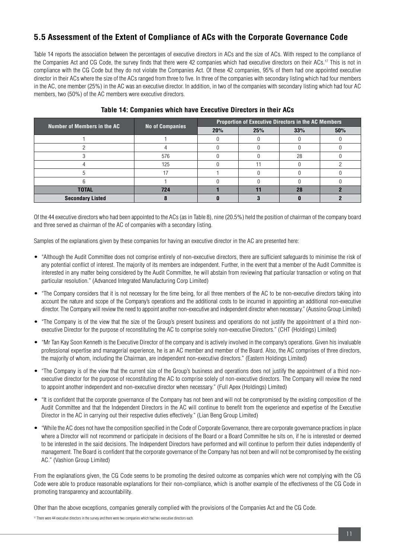### **5.5 Assessment of the Extent of Compliance of ACs with the Corporate Governance Code**

Table 14 reports the association between the percentages of executive directors in ACs and the size of ACs. With respect to the compliance of the Companies Act and CG Code, the survey finds that there were 42 companies which had executive directors on their ACs.<sup>17</sup> This is not in compliance with the CG Code but they do not violate the Companies Act. Of these 42 companies, 95% of them had one appointed executive director in their ACs where the size of the ACs ranged from three to five. In three of the companies with secondary listing which had four members in the AC, one member (25%) in the AC was an executive director. In addition, in two of the companies with secondary listing which had four AC members, two (50%) of the AC members were executive directors.

| Number of Members in the AC |                        | <b>Proportion of Executive Directors in the AC Members</b> |     |     |     |  |  |
|-----------------------------|------------------------|------------------------------------------------------------|-----|-----|-----|--|--|
|                             | <b>No of Companies</b> | 20%                                                        | 25% | 33% | 50% |  |  |
|                             |                        |                                                            |     |     |     |  |  |
|                             |                        |                                                            |     |     |     |  |  |
|                             | 576                    |                                                            |     | 28  |     |  |  |
|                             | 125                    |                                                            |     |     |     |  |  |
|                             |                        |                                                            |     |     |     |  |  |
|                             |                        |                                                            |     |     |     |  |  |
| <b>TOTAL</b>                | 724                    |                                                            |     | 28  |     |  |  |
| <b>Secondary Listed</b>     |                        |                                                            |     |     |     |  |  |

#### **Table 14: Companies which have Executive Directors in their ACs**

Of the 44 executive directors who had been appointed to the ACs (as in Table 8), nine (20.5%) held the position of chairman of the company board and three served as chairman of the AC of companies with a secondary listing.

Samples of the explanations given by these companies for having an executive director in the AC are presented here:

- "Although the Audit Committee does not comprise entirely of non-executive directors, there are sufficient safeguards to minimise the risk of any potential conflict of interest. The majority of its members are independent. Further, in the event that a member of the Audit Committee is interested in any matter being considered by the Audit Committee, he will abstain from reviewing that particular transaction or voting on that particular resolution." (Advanced Integrated Manufacturing Corp Limited)
- "The Company considers that it is not necessary for the time being, for all three members of the AC to be non-executive directors taking into account the nature and scope of the Company's operations and the additional costs to be incurred in appointing an additional non-executive director. The Company will review the need to appoint another non-executive and independent director when necessary." (Aussino Group Limited)
- "The Company is of the view that the size of the Group's present business and operations do not justify the appointment of a third nonexecutive Director for the purpose of reconstituting the AC to comprise solely non-executive Directors." (CHT (Holdings) Limited)
- "Mr Tan Kay Soon Kenneth is the Executive Director of the company and is actively involved in the company's operations. Given his invaluable professional expertise and managerial experience, he is an AC member and member of the Board. Also, the AC comprises of three directors, the majority of whom, including the Chairman, are independent non-executive directors." (Eastern Holdings Limited)
- • "The Company is of the view that the current size of the Group's business and operations does not justify the appointment of a third nonexecutive director for the purpose of reconstituting the AC to comprise solely of non-executive directors. The Company will review the need to appoint another independent and non-executive director when necessary." (Full Apex (Holdings) Limited)
- "It is confident that the corporate governance of the Company has not been and will not be compromised by the existing composition of the Audit Committee and that the Independent Directors in the AC will continue to benefit from the experience and expertise of the Executive Director in the AC in carrying out their respective duties effectively." (Lian Beng Group Limited)
- "While the AC does not have the composition specified in the Code of Corporate Governance, there are corporate governance practices in place where a Director will not recommend or participate in decisions of the Board or a Board Committee he sits on, if he is interested or deemed to be interested in the said decisions. The Independent Directors have performed and will continue to perform their duties independently of management. The Board is confident that the corporate governance of the Company has not been and will not be compromised by the existing AC." (Vashion Group Limited)

From the explanations given, the CG Code seems to be promoting the desired outcome as companies which were not complying with the CG Code were able to produce reasonable explanations for their non-compliance, which is another example of the effectiveness of the CG Code in promoting transparency and accountability.

Other than the above exceptions, companies generally complied with the provisions of the Companies Act and the CG Code.

<sup>17</sup> There were 44 executive directors in the survey and there were two companies which had two executive directors each.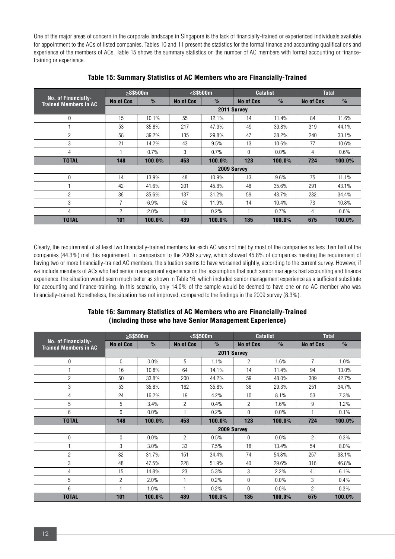One of the major areas of concern in the corporate landscape in Singapore is the lack of financially-trained or experienced individuals available for appointment to the ACs of listed companies. Tables 10 and 11 present the statistics for the formal finance and accounting qualifications and experience of the members of ACs. Table 15 shows the summary statistics on the number of AC members with formal accounting or financetraining or experience.

|                                                     |                  | $>$ S\$500m   |           | $<$ S\$500m   | <b>Catalist</b> |               | <b>Total</b> |               |
|-----------------------------------------------------|------------------|---------------|-----------|---------------|-----------------|---------------|--------------|---------------|
| No. of Financially-<br><b>Trained Members in AC</b> | <b>No of Cos</b> | $\frac{9}{6}$ | No of Cos | $\frac{0}{2}$ | No of Cos       | $\frac{9}{6}$ | No of Cos    | $\frac{9}{6}$ |
|                                                     | 2011 Survey      |               |           |               |                 |               |              |               |
| $\mathbf 0$                                         | 15               | 10.1%         | 55        | 12.1%         | 14              | 11.4%         | 84           | 11.6%         |
|                                                     | 53               | 35.8%         | 217       | 47.9%         | 49              | 39.8%         | 319          | 44.1%         |
| $\overline{2}$                                      | 58               | 39.2%         | 135       | 29.8%         | 47              | 38.2%         | 240          | 33.1%         |
| 3                                                   | 21               | 14.2%         | 43        | 9.5%          | 13              | 10.6%         | 77           | 10.6%         |
| 4                                                   |                  | 0.7%          | 3         | 0.7%          | $\Omega$        | $0.0\%$       | 4            | 0.6%          |
| <b>TOTAL</b>                                        | 148              | 100.0%        | 453       | 100.0%        | 123             | 100.0%        | 724          | $100.0\%$     |
|                                                     |                  |               |           |               | 2009 Survey     |               |              |               |
| $\mathbf 0$                                         | 14               | 13.9%         | 48        | 10.9%         | 13              | 9.6%          | 75           | 11.1%         |
|                                                     | 42               | 41.6%         | 201       | 45.8%         | 48              | 35.6%         | 291          | 43.1%         |
| $\overline{2}$                                      | 36               | 35.6%         | 137       | 31.2%         | 59              | 43.7%         | 232          | 34.4%         |
| 3                                                   | 7                | 6.9%          | 52        | 11.9%         | 14              | 10.4%         | 73           | 10.8%         |
| 4                                                   | $\overline{2}$   | 2.0%          | 1         | 0.2%          |                 | 0.7%          | 4            | 0.6%          |
| <b>TOTAL</b>                                        | 101              | 100.0%        | 439       | 100.0%        | 135             | 100.0%        | 675          | 100.0%        |

#### **Table 15: Summary Statistics of AC Members who are Financially-Trained**

Clearly, the requirement of at least two financially-trained members for each AC was not met by most of the companies as less than half of the companies (44.3%) met this requirement. In comparison to the 2009 survey, which showed 45.8% of companies meeting the requirement of having two or more financially-trained AC members, the situation seems to have worsened slightly, according to the current survey. However, if we include members of ACs who had senior management experience on the assumption that such senior managers had accounting and finance experience, the situation would seem much better as shown in Table 16, which included senior management experience as a sufficient substitute for accounting and finance-training. In this scenario, only 14.0% of the sample would be deemed to have one or no AC member who was financially-trained. Nonetheless, the situation has not improved, compared to the findings in the 2009 survey (8.3%).

#### **Table 16: Summary Statistics of AC Members who are Financially-Trained (including those who have Senior Management Experience)**

|                                                     | $>$ S\$500m |               | $<$ S\$500m      |               | <b>Catalist</b>  |               | <b>Total</b>     |               |
|-----------------------------------------------------|-------------|---------------|------------------|---------------|------------------|---------------|------------------|---------------|
| No. of Financially-<br><b>Trained Members in AC</b> | No of Cos   | $\frac{9}{9}$ | <b>No of Cos</b> | $\frac{0}{2}$ | <b>No of Cos</b> | $\frac{0}{2}$ | <b>No of Cos</b> | $\frac{9}{6}$ |
|                                                     |             |               |                  |               | 2011 Survey      |               |                  |               |
| 0                                                   | $\Omega$    | 0.0%          | 5                | 1.1%          | $\overline{2}$   | 1.6%          | $\overline{7}$   | 1.0%          |
| 1                                                   | 16          | 10.8%         | 64               | 14.1%         | 14               | 11.4%         | 94               | 13.0%         |
| $\overline{2}$                                      | 50          | 33.8%         | 200              | 44.2%         | 59               | 48.0%         | 309              | 42.7%         |
| 3                                                   | 53          | 35.8%         | 162              | 35.8%         | 36               | 29.3%         | 251              | 34.7%         |
| 4                                                   | 24          | 16.2%         | 19               | 4.2%          | 10               | 8.1%          | 53               | 7.3%          |
| 5                                                   | 5           | 3.4%          | $\overline{2}$   | 0.4%          | $\overline{2}$   | 1.6%          | 9                | 1.2%          |
| 6                                                   | 0           | 0.0%          | 1                | 0.2%          | $\Omega$         | 0.0%          | 1                | 0.1%          |
| <b>TOTAL</b>                                        | 148         | 100.0%        | 453              | 100.0%        | 123              | 100.0%        | 724              | 100.0%        |
|                                                     |             |               |                  | 2009 Survey   |                  |               |                  |               |
| 0                                                   | 0           | 0.0%          | $\overline{2}$   | 0.5%          | 0                | 0.0%          | $\overline{2}$   | 0.3%          |
|                                                     | 3           | 3.0%          | 33               | 7.5%          | 18               | 13.4%         | 54               | $8.0\%$       |
| $\overline{c}$                                      | 32          | 31.7%         | 151              | 34.4%         | 74               | 54.8%         | 257              | 38.1%         |
| 3                                                   | 48          | 47.5%         | 228              | 51.9%         | 40               | 29.6%         | 316              | 46.8%         |
| 4                                                   | 15          | 14.8%         | 23               | 5.3%          | 3                | 2.2%          | 41               | 6.1%          |
| 5                                                   | 2           | 2.0%          | 1                | 0.2%          | $\Omega$         | $0.0\%$       | 3                | 0.4%          |
| 6                                                   |             | 1.0%          | $\overline{1}$   | 0.2%          | $\overline{0}$   | 0.0%          | $\overline{2}$   | 0.3%          |
| <b>TOTAL</b>                                        | 101         | 100.0%        | 439              | 100.0%        | 135              | 100.0%        | 675              | 100.0%        |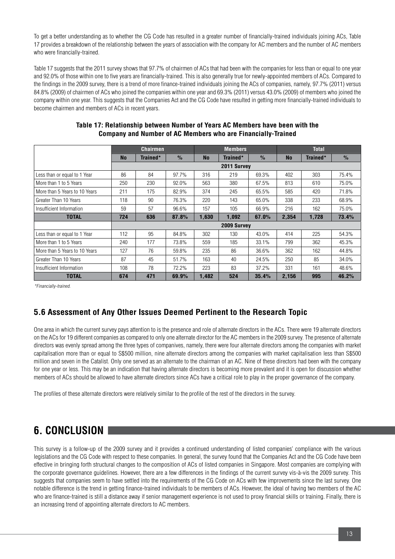To get a better understanding as to whether the CG Code has resulted in a greater number of financially-trained individuals joining ACs, Table 17 provides a breakdown of the relationship between the years of association with the company for AC members and the number of AC members who were financially-trained.

Table 17 suggests that the 2011 survey shows that 97.7% of chairmen of ACs that had been with the companies for less than or equal to one year and 92.0% of those within one to five years are financially-trained. This is also generally true for newly-appointed members of ACs. Compared to the findings in the 2009 survey, there is a trend of more finance-trained individuals joining the ACs of companies, namely, 97.7% (2011) versus 84.8% (2009) of chairmen of ACs who joined the companies within one year and 69.3% (2011) versus 43.0% (2009) of members who joined the company within one year. This suggests that the Companies Act and the CG Code have resulted in getting more financially-trained individuals to become chairmen and members of ACs in recent years.

|                               |           | <b>Chairmen</b> |               |           | <b>Members</b> |               | <b>Total</b> |          |       |  |
|-------------------------------|-----------|-----------------|---------------|-----------|----------------|---------------|--------------|----------|-------|--|
|                               | <b>No</b> | Trained*        | $\frac{1}{2}$ | <b>No</b> | Trained*       | $\frac{9}{6}$ | <b>No</b>    | Trained* | $\%$  |  |
|                               |           | 2011 Survey     |               |           |                |               |              |          |       |  |
| Less than or equal to 1 Year  | 86        | 84              | 97.7%         | 316       | 219            | 69.3%         | 402          | 303      | 75.4% |  |
| More than 1 to 5 Years        | 250       | 230             | 92.0%         | 563       | 380            | 67.5%         | 813          | 610      | 75.0% |  |
| More than 5 Years to 10 Years | 211       | 175             | 82.9%         | 374       | 245            | 65.5%         | 585          | 420      | 71.8% |  |
| Greater Than 10 Years         | 118       | 90              | 76.3%         | 220       | 143            | 65.0%         | 338          | 233      | 68.9% |  |
| Insufficient Information      | 59        | 57              | 96.6%         | 157       | 105            | 66.9%         | 216          | 162      | 75.0% |  |
| <b>TOTAL</b>                  | 724       | 636             | 87.8%         | 1,630     | 1,092          | 67.0%         | 2,354        | 1,728    | 73.4% |  |
|                               |           |                 |               |           | 2009 Survey    |               |              |          |       |  |
| Less than or equal to 1 Year  | 112       | 95              | 84.8%         | 302       | 130            | 43.0%         | 414          | 225      | 54.3% |  |
| More than 1 to 5 Years        | 240       | 177             | 73.8%         | 559       | 185            | 33.1%         | 799          | 362      | 45.3% |  |
| More than 5 Years to 10 Years | 127       | 76              | 59.8%         | 235       | 86             | 36.6%         | 362          | 162      | 44.8% |  |
| Greater Than 10 Years         | 87        | 45              | 51.7%         | 163       | 40             | 24.5%         | 250          | 85       | 34.0% |  |
| Insufficient Information      | 108       | 78              | 72.2%         | 223       | 83             | 37.2%         | 331          | 161      | 48.6% |  |
| <b>TOTAL</b>                  | 674       | 471             | 69.9%         | 1,482     | 524            | 35.4%         | 2,156        | 995      | 46.2% |  |

#### **Table 17: Relationship between Number of Years AC Members have been with the Company and Number of AC Members who are Financially-Trained**

\*Financially-trained.

### **5.6 Assessment of Any Other Issues Deemed Pertinent to the Research Topic**

One area in which the current survey pays attention to is the presence and role of alternate directors in the ACs. There were 19 alternate directors on the ACs for 19 different companies as compared to only one alternate director for the AC members in the 2009 survey. The presence of alternate directors was evenly spread among the three types of companives, namely, there were four alternate directors among the companies with market capitalisation more than or equal to S\$500 million, nine alternate directors among the companies with market capitalisation less than S\$500 million and seven in the Catalist. Only one served as an alternate to the chairman of an AC. Nine of these directors had been with the company for one year or less. This may be an indication that having alternate directors is becoming more prevalent and it is open for discussion whether members of ACs should be allowed to have alternate directors since ACs have a critical role to play in the proper governance of the company.

The profiles of these alternate directors were relatively similar to the profile of the rest of the directors in the survey.

# **6. CONCLUSION**

This survey is a follow-up of the 2009 survey and it provides a continued understanding of listed companies' compliance with the various legislations and the CG Code with respect to these companies. In general, the survey found that the Companies Act and the CG Code have been effective in bringing forth structural changes to the composition of ACs of listed companies in Singapore. Most companies are complying with the corporate governance guidelines. However, there are a few differences in the findings of the current survey vis-à-vis the 2009 survey. This suggests that companies seem to have settled into the requirements of the CG Code on ACs with few improvements since the last survey. One notable difference is the trend in getting finance-trained individuals to be members of ACs. However, the ideal of having two members of the AC who are finance-trained is still a distance away if senior management experience is not used to proxy financial skills or training. Finally, there is an increasing trend of appointing alternate directors to AC members.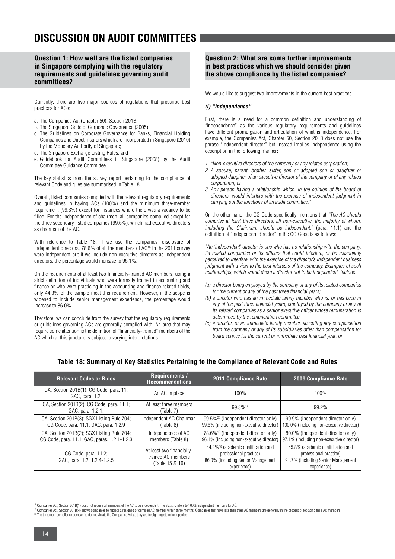# **DISCUSSION ON AUDIT COMMITTEES**

**Question 1: How well are the listed companies in Singapore complying with the regulatory requirements and guidelines governing audit committees?**

Currently, there are five major sources of regulations that prescribe best practices for ACs:

- a. The Companies Act (Chapter 50), Section 201B;
- b. The Singapore Code of Corporate Governance (2005);
- c. The Guidelines on Corporate Governance for Banks, Financial Holding Companies and Direct Insurers which are Incorporated in Singapore (2010) by the Monetary Authority of Singapore;
- d. The Singapore Exchange Listing Rules; and
- e. Guidebook for Audit Committees in Singapore (2008) by the Audit Committee Guidance Committee.

The key statistics from the survey report pertaining to the compliance of relevant Code and rules are summarised in Table 18.

Overall, listed companies complied with the relevant regulatory requirements and guidelines in having ACs (100%) and the minimum three-member requirement (99.3%) except for instances where there was a vacancy to be filled. For the independence of chairmen, all companies complied except for the three secondary listed companies (99.6%), which had executive directors as chairman of the AC.

With reference to Table 18, if we use the companies' disclosure of independent directors, 78.6% of all the members of AC<sup>18</sup> in the 2011 survey were independent but if we include non-executive directors as independent directors, the percentage would increase to 96.1%.

On the requirements of at least two financially-trained AC members, using a strict definition of individuals who were formally trained in accounting and finance or who were practicing in the accounting and finance related fields, only 44.3% of the sample meet this requirement. However, if the scope is widened to include senior management experience, the percentage would increase to 86.0%.

Therefore, we can conclude from the survey that the regulatory requirements or guidelines governing ACs are generally complied with. An area that may require some attention is the definition of "financially-trained" members of the AC which at this juncture is subject to varying interpretations.

#### **Question 2: What are some further improvements in best practices which we should consider given the above compliance by the listed companies?**

We would like to suggest two improvements in the current best practices.

#### **(I) "Independence"**

First, there is a need for a common definition and understanding of "independence" as the various regulatory requirements and guidelines have different promulgation and articulation of what is independence. For example, the Companies Act, Chapter 50, Section 201B does not use the phrase "independent director" but instead implies independence using the description in the following manner:

- 1. "Non-executive directors of the company or any related corporation;
- 2. A spouse, parent, brother, sister, son or adopted son or daughter or adopted daughter of an executive director of the company or of any related corporation; or
- 3. Any person having a relationship which, in the opinion of the board of directors, would interfere with the exercise of independent judgment in carrying out the functions of an audit committee."

On the other hand, the CG Code specifically mentions that "The AC should comprise at least three directors, all non-executive, the majority of whom, including the Chairman, should be independent." (para. 11.1) and the definition of "independent director" in the CG Code is as follows:

"An 'independent' director is one who has no relationship with the company, its related companies or its officers that could interfere, or be reasonably perceived to interfere, with the exercise of the director's independent business judgment with a view to the best interests of the company. Examples of such relationships, which would deem a director not to be independent, include:

- (a) a director being employed by the company or any of its related companies for the current or any of the past three financial years;
- (b) a director who has an immediate family member who is, or has been in any of the past three financial years, employed by the company or any of its related companies as a senior executive officer whose remuneration is determined by the remuneration committee;
- (c) a director, or an immediate family member, accepting any compensation from the company or any of its subsidiaries other than compensation for board service for the current or immediate past financial year; or

| <b>Relevant Codes or Rules</b>                                                             | <b>Requirements /</b><br><b>Recommendations</b>                    | <b>2011 Compliance Rate</b>                                                                                                    | <b>2009 Compliance Rate</b>                                                                                      |
|--------------------------------------------------------------------------------------------|--------------------------------------------------------------------|--------------------------------------------------------------------------------------------------------------------------------|------------------------------------------------------------------------------------------------------------------|
| CA, Section 201B(1); CG Code, para. 11;<br>GAC, para. 1.2.                                 | An AC in place                                                     | 100%                                                                                                                           | 100%                                                                                                             |
| CA, Section 201B(2); CG Code, para. 11.1;<br>GAC, para. 1.2.1.                             | At least three members<br>(Table 7)                                | 99.3%19                                                                                                                        | 99.2%                                                                                                            |
| CA, Section 201B(3); SGX Listing Rule 704;<br>CG Code, para. 11.1; GAC, para. 1.2.9        | Independent AC Chairman<br>(Table 8)                               | 99.5% <sup>20</sup> (independent director only)<br>99.6% (including non-executive director)                                    | 99.9% (independent director only)<br>100.0% (including non-executive director)                                   |
| CA, Section 201B(2); SGX Listing Rule 704;<br>CG Code, para. 11.1; GAC, paras. 1.2.1-1.2.3 | Independence of AC<br>members (Table 8)                            | 78.6% <sup>18</sup> (independent director only)<br>96.1% (including non-executive director)                                    | 80.0% (independent director only)<br>97.1% (including non-executive director)                                    |
| CG Code, para. 11.2;<br>GAC, para. 1.2, 1.2.4-1.2.5                                        | At least two financially-<br>trained AC members<br>(Table 15 & 16) | 44.3% <sup>18</sup> (academic qualification and<br>professional practice)<br>86.0% (including Senior Management<br>experience) | 45.8% (academic qualification and<br>professional practice)<br>91.7% (including Senior Management<br>experience) |

#### **Table 18: Summary of Key Statistics Pertaining to the Compliance of Relevant Code and Rules**

<sup>&</sup>lt;sup>8</sup> Companies Act, Section 201B(1) does not require all members of the AC to be independent. The statistic refers to 100% independent members for AC.

<sup>&</sup>lt;sup>19</sup> Companies Act, Section 201B(4) allows companies to replace a resigned or demised AC member within three months. Companies that have less than three AC members are generally in the process of replacing their AC members 20 The three non-compliance companies do not violate the Companies Act as they are foreign registered companies.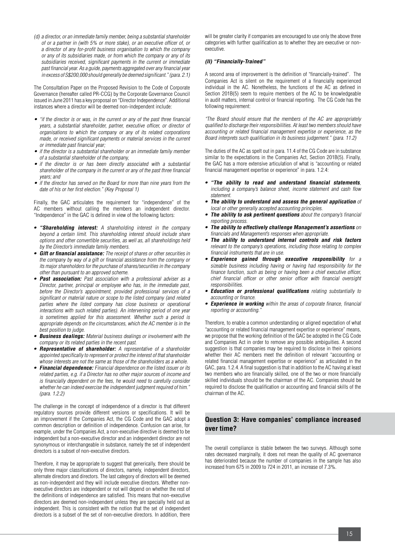(d) a director, or an immediate family member, being a substantial shareholder of or a partner in (with 5% or more stake), or an executive officer of, or a director of any for-profit business organisation to which the company or any of its subsidiaries made, or from which the company or any of its subsidiaries received, significant payments in the current or immediate past financial year. As a guide, payments aggregated over any financial year in excess of S\$200,000 should generally be deemed significant."(para. 2.1)

The Consultation Paper on the Proposed Revision to the Code of Corporate Governance (hereafter called PR-CCG) by the Corporate Governance Council issued in June 2011 has a key proposal on "Director Independence". Additional instances where a director will be deemed non-independent include:

- "if the director is or was, in the current or any of the past three financial years, a substantial shareholder, partner, executive officer, or director of organisations to which the company or any of its related corporations made, or received significant payments or material services in the current or immediate past financial year;
- if the director is a substantial shareholder or an immediate family member of a substantial shareholder of the company,
- if the director is or has been directly associated with a substantial shareholder of the company in the current or any of the past three financial years; and
- if the director has served on the Board for more than nine years from the date of his or her first election." (Key Proposal 1)

Finally, the GAC articulates the requirement for "independence" of the AC members without calling the members an independent director. "Independence" in the GAC is defined in view of the following factors:

- **• "Shareholding interest:** A shareholding interest in the company beyond a certain limit. This shareholding interest should include share options and other convertible securities, as well as, all shareholdings held by the Director's immediate family members.
- **• Gift or financial assistance:** The receipt of shares or other securities in the company by way of a gift or financial assistance from the company or its major shareholders for the purchase of shares/securities in the company other than pursuant to an approved scheme.
- **• Past association:** Past association with a professional adviser as a Director, partner, principal or employee who has, in the immediate past, before the Director's appointment, provided professional services of a significant or material nature or scope to the listed company (and related parties where the listed company has close business or operational interactions with such related parties). An intervening period of one year is sometimes applied for this assessment. Whether such a period is appropriate depends on the circumstances, which the AC member is in the best position to judge.
- **Business dealings:** Material business dealings or involvement with the company or its related parties in the recent past.
- **Representative of shareholder:** A representative of a shareholder appointed specifically to represent or protect the interest of that shareholder whose interests are not the same as those of the shareholders as a whole.
- **• Financial dependence:** Financial dependence on the listed issuer or its related parties, e.g. if a Director has no other major sources of income and is financially dependent on the fees, he would need to carefully consider whether he can indeed exercise the independent judgment required of him.' (para. 1.2.2)

The challenge in the concept of independence of a director is that different regulatory sources provide different versions or specifications. It will be an improvement if the Companies Act, the CG Code and the GAC adopt a common description or definition of independence. Confusion can arise, for example, under the Companies Act, a non-executive directive is deemed to be independent but a non-executive director and an independent director are not synonymous or interchangeable in substance, namely the set of independent directors is a subset of non-executive directors.

Therefore, it may be appropriate to suggest that generically, there should be only three major classifications of directors, namely, independent directors, alternate directors and directors. The last category of directors will be deemed as non-independent and they will include executive directors. Whether nonexecutive directors are independent or not will depend on whether the rest of the definitions of independence are satisfied. This means that non-executive directors are deemed non-independent unless they are specially held out as independent. This is consistent with the notion that the set of independent directors is a subset of the set of non-executive directors. In addition, there

will be greater clarity if companies are encouraged to use only the above three categories with further qualification as to whether they are executive or nonexecutive.

#### **(II) "Financially-Trained"**

A second area of improvement is the definition of "financially-trained". The Companies Act is silent on the requirement of a financially experienced individual in the AC. Nonetheless, the functions of the AC as defined in Section 201B(5) seem to require members of the AC to be knowledgeable in audit matters, internal control or financial reporting. The CG Code has the following requirement:

"The Board should ensure that the members of the AC are appropriately qualified to discharge their responsibilities. At least two members should have accounting or related financial management expertise or experience, as the Board interprets such qualification in its business judgement." (para. 11.2)

The duties of the AC as spelt out in para. 11.4 of the CG Code are in substance similar to the expectations in the Companies Act, Section 201B(5). Finally, the GAC has a more extensive articulation of what is "accounting or related financial management expertise or experience" in para. 1.2.4:

- **• "The ability to read and understand financial statements**, including a company's balance sheet, income statement and cash flow **statement**
- **• The ability to understand and assess the general application** of local or other generally accepted accounting principles.
- **• The ability to ask pertinent questions** about the company's financial reporting process.
- **• The ability to effectively challenge Management's assertions** on financials and Management's responses when appropriate.
- **• The ability to understand internal controls and risk factors** relevant to the company's operations, including those relating to complex financial instruments that are in use.
- **• Experience gained through executive responsibility** for a sizeable business including having or having had responsibility for the finance function, such as being or having been a chief executive officer, chief financial officer or other senior officer with financial oversight responsibilities.
- **• Education or professional qualifications** relating substantially to accounting or finance.
- **• Experience in working** within the areas of corporate finance, financial reporting or accounting.

Therefore, to enable a common understanding or aligned expectation of what "accounting or related financial management expertise or experience" means, we propose that the working definition of the GAC be adopted in the CG Code and Companies Act in order to remove any possible ambiguities. A second suggestion is that companies may be required to disclose in their opinions whether their AC members meet the definition of relevant "accounting or related financial management expertise or experience" as articulated in the GAC, para, 1.2.4. A final suggestion is that in addition to the AC having at least two members who are financially skilled, one of the two or more financially skilled individuals should be the chairman of the AC. Companies should be required to disclose the qualification or accounting and financial skills of the chairman of the AC.

#### **Question 3: Have companies' compliance increased over time?**

The overall compliance is stable between the two surveys. Although some rates decreased marginally, it does not mean the quality of AC governance has deteriorated because the number of companies in the sample has also increased from 675 in 2009 to 724 in 2011, an increase of 7.3%.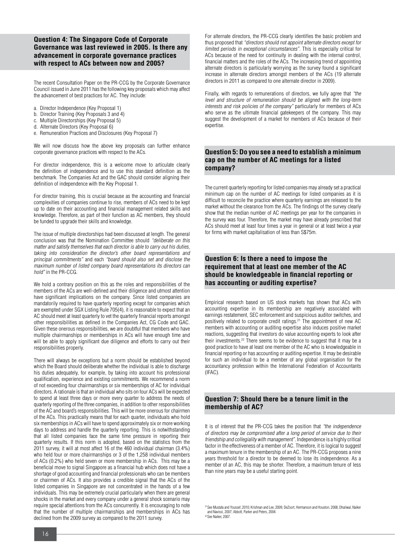#### **Question 4: The Singapore Code of Corporate Governance was last reviewed in 2005. Is there any advancement in corporate governance practices with respect to ACs between now and 2005?**

The recent Consultation Paper on the PR-CCG by the Corporate Governance Council issued in June 2011 has the following key proposals which may affect the advancement of best practices for AC. They include:

- a. Director Independence (Key Proposal 1)
- b. Director Training (Key Proposals 3 and 4)
- c. Multiple Directorships (Key Proposal 5)
- d. Alternate Directors (Key Proposal 6)
- e. Remuneration Practices and Disclosures (Key Proposal 7)

We will now discuss how the above key proposals can further enhance corporate governance practices with respect to the ACs.

For director independence, this is a welcome move to articulate clearly the definition of independence and to use this standard definition as the benchmark. The Companies Act and the GAC should consider aligning their definition of independence with the Key Proposal 1.

For director training, this is crucial because as the accounting and financial complexities of companies continue to rise, members of ACs need to be kept up to date on their accounting and financial management related skills and knowledge. Therefore, as part of their function as AC members, they should be funded to upgrade their skills and knowledge.

The issue of multiple directorships had been discussed at length. The general conclusion was that the Nomination Committee should "deliberate on this matter and satisfy themselves that each director is able to carry out his duties, taking into consideration the director's other board representations and principal commitments" and each "board should also set and disclose the maximum number of listed company board representations its directors can hold" in the PR-CCG.

We hold a contrary position on this as the roles and responsibilities of the members of the ACs are well-defined and their diligence and utmost attention have significant implications on the company. Since listed companies are mandatorily required to have quarterly reporting except for companies which are exempted under SGX Listing Rule 705(4), it is reasonable to expect that an AC should meet at least quarterly to vet the quarterly financial reports amongst other responsibilities as defined in the Companies Act, CG Code and GAC. Given these onerous responsibilities, we are doubtful that members who have multiple chairmanships or memberships in ACs will have enough time and will be able to apply significant due diligence and efforts to carry out their responsibilities properly.

There will always be exceptions but a norm should be established beyond which the Board should deliberate whether the individual is able to discharge his duties adequately, for example, by taking into account his professional qualification, experience and existing commitments. We recommend a norm of not exceeding four chairmanships or six memberships of AC for individual directors. A rationale is that an individual who sits on four ACs will be expected to spend at least three days or more every quarter to address the needs of quarterly reporting of the three companies, in addition to other responsibilities of the AC and board's responsibilities. This will be more onerous for chairmen of the ACs. This practically means that for each quarter, individuals who hold six memberships in ACs will have to spend approximately six or more working days to address and handle the quarterly reporting. This is notwithstanding that all listed companies face the same time pressure in reporting their quarterly results. If this norm is adopted, based on the statistics from the 2011 survey, it will at most affect 16 of the 460 individual chairman (3.4%) who held four or more chairmanships or 3 of the 1,258 individual members of ACs (0.2%) who held seven or more membership in ACs. This may be a beneficial move to signal Singapore as a financial hub which does not have a shortage of good accounting and financial professionals who can be members or chairmen of ACs. It also provides a credible signal that the ACs of the listed companies in Singapore are not concentrated in the hands of a few individuals. This may be extremely crucial particularly when there are general shocks in the market and every company under a general shock scenario may require special attentions from the ACs concurrently. It is encouraging to note that the number of multiple chairmanships and memberships in ACs has declined from the 2009 survey as compared to the 2011 survey.

For alternate directors, the PR-CCG clearly identifies the basic problem and thus proposed that "directors should not appoint alternate directors except for limited periods in exceptional circumstances". This is especially critical for ACs because of the need for continuity in dealing with the internal control, financial matters and the roles of the ACs. The increasing trend of appointing alternate directors is particularly worrying as the survey found a significant increase in alternate directors amongst members of the ACs (19 alternate directors in 2011 as compared to one alternate director in 2009).

Finally, with regards to remunerations of directors, we fully agree that "the level and structure of remuneration should be aligned with the long-term interests and risk policies of the company" particularly for members of ACs who serve as the ultimate financial gatekeepers of the company. This may suggest the development of a market for members of ACs because of their expertise

#### **Question 5: Do you see a need to establish a minimum cap on the number of AC meetings for a listed company?**

The current quarterly reporting for listed companies may already set a practical minimum cap on the number of AC meetings for listed companies as it is difficult to reconcile the practice where quarterly earnings are released to the market without the clearance from the ACs. The findings of the survey clearly show that the median number of AC meetings per year for the companies in the survey was four. Therefore, the market may have already prescribed that ACs should meet at least four times a year in general or at least twice a year for firms with market capitalisation of less than S\$75m.

#### **Question 6: Is there a need to impose the requirement that at least one member of the AC should be knowledgeable in financial reporting or has accounting or auditing expertise?**

Empirical research based on US stock markets has shown that ACs with accounting expertise in its membership are negatively associated with earnings restatement, SEC enforcement and suspicious auditor switches, and positively related to corporate credit ratings.<sup>21</sup> The appointment of new AC members with accounting or auditing expertise also induces positive market reactions, suggesting that investors do value accounting experts to look after their investments.<sup>22</sup> There seems to be evidence to suggest that it may be a good practice to have at least one member of the AC who is knowledgeable in financial reporting or has accounting or auditing expertise. It may be desirable for such an individual to be a member of any global organisation for the accountancy profession within the International Federation of Accountants (IFAC).

#### **Question 7: Should there be a tenure limit in the membership of AC?**

It is of interest that the PR-CCG takes the position that "the independence of directors may be compromised after a long period of service due to their friendship and collegiality with management". Independence is a highly critical factor in the effectiveness of a member of AC. Therefore, it is logical to suggest a maximum tenure in the membership of an AC. The PR-CCG proposes a nine years threshold for a director to be deemed to lose its independence. As a member of an AC, this may be shorter. Therefore, a maximum tenure of less than nine years may be a useful starting point.

<sup>21</sup> See Mustafa and Youssef, 2010; Krishnan and Lee, 2009; DeZoort, Hermanson and Houston, 2008; Dhaliwal, Naiker and Navissi, 2007; Abbott, Parker and Peters, 2004. 22 See Naiker, 2007.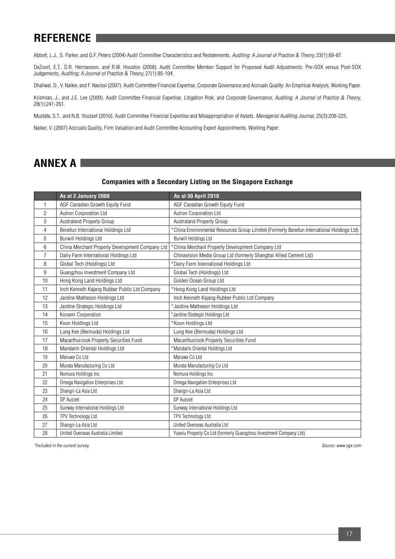# **REFERENCE**

Abbott, L.J., S. Parker, and G.F. Peters (2004) Audit Committee Characteristics and Restatements, Auditing: A Journal of Practice & Theory, 23(1):69-87.

DeZoort, E.T., D.R. Hermanson, and R.W. Houston (2008). Audit Committee Member Support for Proposed Audit Adjustments: Pre-SOX versus Post-SOX Judgements, Auditing: A Journal of Practice & Theory, 27(1):85-104.

Dhaliwal, D., V. Naiker, and F. Navissi (2007). Audit Committee Financial Expertise, Corporate Governance and Accruals Quality: An Empirical Analysis, Working Paper.

Krishnan, J., and J.E. Lee (2009). Audit Committee Financial Expertise, Litigation Risk, and Corporate Governance, Auditing: A Journal of Practice & Theory, 28(1):241-261.

Mustafa, S.T., and N.B. Youssef (2010). Audit Committee Financial Expertise and Misappropriation of Assets. Managerial Auditing Journal, 25(3):208-225.

Naiker, V. (2007) Accruals Quality, Firm Valuation and Audit Committee Accounting Expert Appointments. Working Paper.

### **ANNEX A**

#### **Companies with a Secondary Listing on the Singapore Exchange**

|                | As at 2 January 2008                            | As at 30 April 2010                                                                         |  |
|----------------|-------------------------------------------------|---------------------------------------------------------------------------------------------|--|
| 1              | AGF Canadian Growth Equity Fund                 | AGF Canadian Growth Equity Fund                                                             |  |
| $\overline{2}$ | Autron Corporation Ltd                          | Autron Corporation Ltd                                                                      |  |
| 3              | <b>Australand Property Group</b>                | Australand Property Group                                                                   |  |
| 4              | Benefun International Holdings Ltd              | * China Environmental Resources Group Limited (Formerly Benefun International Holdings Ltd) |  |
| 5              | <b>Burwill Holdings Ltd</b>                     | <b>Burwill Holdings Ltd</b>                                                                 |  |
| 6              | China Merchant Property Development Company Ltd | * China Merchant Property Development Company Ltd                                           |  |
| $\overline{7}$ | Dairy Farm International Holdings Ltd           | Chinavision Media Group Ltd (formerly Shanghai Allied Cement Ltd)                           |  |
| 8              | Global Tech (Holdings) Ltd                      | *Dairy Farm International Holdings Ltd                                                      |  |
| 9              | Guangzhou Investment Company Ltd                | Global Tech (Holdings) Ltd                                                                  |  |
| 10             | Hong Kong Land Holdings Ltd                     | Golden Ocean Group Ltd                                                                      |  |
| 11             | Inch Kenneth Kajang Rubber Public Ltd Company   | *Hong Kong Land Holdings Ltd                                                                |  |
| 12             | Jardine Matheson Holdings Ltd                   | Inch Kenneth Kajang Rubber Public Ltd Company                                               |  |
| 13             | Jardine Strategic Holdings Ltd                  | *Jardine Matheson Holdings Ltd                                                              |  |
| 14             | Konami Corporation                              | *Jardine Strategic Holdings Ltd                                                             |  |
| 15             | Koon Holdings Ltd                               | *Koon Holdings Ltd                                                                          |  |
| 16             | Lung Kee (Bermuda) Holdings Ltd                 | Lung Kee (Bermuda) Holdings Ltd                                                             |  |
| 17             | Macarthurcook Property Securities Fund          | Macarthurcook Property Securities Fund                                                      |  |
| 18             | Mandarin Oriental Holdings Ltd                  | *Mandarin Oriental Holdings Ltd                                                             |  |
| 19             | Maruwa Co Ltd                                   | Maruwa Co Ltd                                                                               |  |
| 20             | Murata Manufacturing Co Ltd                     | Murata Manufacturing Co Ltd                                                                 |  |
| 21             | Nomura Holdings Inc                             | Nomura Holdings Inc                                                                         |  |
| 22             | Omega Navigation Enterprises Ltd                | Omega Navigation Enterprises Ltd                                                            |  |
| 23             | Shangri-La Asia Ltd                             | Shangri-La Asia Ltd                                                                         |  |
| 24             | <b>SP</b> Ausnet                                | <b>SP</b> Ausnet                                                                            |  |
| 25             | Sunway International Holdings Ltd               | Sunway International Holdings Ltd                                                           |  |
| 26             | TPV Technology Ltd                              | TPV Technology Ltd                                                                          |  |
| 27             | Shangri-La Asia Ltd                             | United Overseas Australia Ltd                                                               |  |
| 28             | United Overseas Australia Limited               | Yuexiu Property Co Ltd (formerly Guangzhou Investment Company Ltd)                          |  |

\*Included in the current survey. Source: www.sgx.com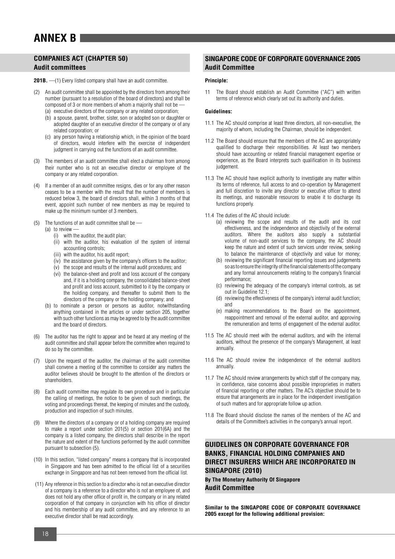### **ANNEX B**

#### **COMPANIES ACT (CHAPTER 50) Audit committees**

**201B.** —(1) Every listed company shall have an audit committee.

- (2) An audit committee shall be appointed by the directors from among their number (pursuant to a resolution of the board of directors) and shall be composed of 3 or more members of whom a majority shall not be -(a) executive directors of the company or any related corporation;
	- (b) a spouse, parent, brother, sister, son or adopted son or daughter or adopted daughter of an executive director of the company or of any related corporation; or
	- (c) any person having a relationship which, in the opinion of the board of directors, would interfere with the exercise of independent judgment in carrying out the functions of an audit committee.
- (3) The members of an audit committee shall elect a chairman from among their number who is not an executive director or employee of the company or any related corporation.
- (4) If a member of an audit committee resigns, dies or for any other reason ceases to be a member with the result that the number of members is reduced below 3, the board of directors shall, within 3 months of that event, appoint such number of new members as may be required to make up the minimum number of 3 members.
- (5) The functions of an audit committee shall be
	- (a) to review  $\overline{a}$ 
		- (i) with the auditor, the audit plan;
		- (ii) with the auditor, his evaluation of the system of internal accounting controls;
		- (iii) with the auditor, his audit report;
		- (iv) the assistance given by the company's officers to the auditor;
		- (v) the scope and results of the internal audit procedures; and
		- (vi) the balance-sheet and profit and loss account of the company and, if it is a holding company, the consolidated balance-sheet and profit and loss account, submitted to it by the company or the holding company, and thereafter to submit them to the directors of the company or the holding company; and
		- (b) to nominate a person or persons as auditor, notwithstanding anything contained in the articles or under section 205, together with such other functions as may be agreed to by the audit committee and the board of directors.
- (6) The auditor has the right to appear and be heard at any meeting of the audit committee and shall appear before the committee when required to do so by the committee.
- (7) Upon the request of the auditor, the chairman of the audit committee shall convene a meeting of the committee to consider any matters the auditor believes should be brought to the attention of the directors or shareholders.
- (8) Each audit committee may regulate its own procedure and in particular the calling of meetings, the notice to be given of such meetings, the voting and proceedings thereat, the keeping of minutes and the custody, production and inspection of such minutes.
- Where the directors of a company or of a holding company are required to make a report under section 201(5) or section 201(6A) and the company is a listed company, the directors shall describe in the report the nature and extent of the functions performed by the audit committee pursuant to subsection (5).
- (10) In this section, "listed company" means a company that is incorporated in Singapore and has been admitted to the official list of a securities exchange in Singapore and has not been removed from the official list.
- (11) Any reference in this section to a director who is not an executive director of a company is a reference to a director who is not an employee of, and does not hold any other office of profit in, the company or in any related corporation of that company in conjunction with his office of director and his membership of any audit committee, and any reference to an executive director shall be read accordingly.

#### **SINGAPORE CODE OF CORPORATE GOVERNANCE 2005 Audit Committee**

#### **Principle:**

11 The Board should establish an Audit Committee ("AC") with written terms of reference which clearly set out its authority and duties.

#### **Guidelines:**

- 11.1 The AC should comprise at least three directors, all non-executive, the majority of whom, including the Chairman, should be independent.
- 11.2 The Board should ensure that the members of the AC are appropriately qualified to discharge their responsibilities. At least two members should have accounting or related financial management expertise or experience, as the Board interprets such qualification in its business judgement.
- 11.3 The AC should have explicit authority to investigate any matter within its terms of reference, full access to and co-operation by Management and full discretion to invite any director or executive officer to attend its meetings, and reasonable resources to enable it to discharge its functions properly.
- 11.4 The duties of the AC should include:
	- (a) reviewing the scope and results of the audit and its cost effectiveness, and the independence and objectivity of the external auditors. Where the auditors also supply a substantial volume of non-audit services to the company, the AC should keep the nature and extent of such services under review, seeking to balance the maintenance of objectivity and value for money;
	- (b) reviewing the significant financial reporting issues and judgements so as to ensure the integrity of the financial statements of the company and any formal announcements relating to the company's financial performance;
	- (c) reviewing the adequacy of the company's internal controls, as set out in Guideline 12.1;
	- (d) reviewing the effectiveness of the company's internal audit function; and
	- (e) making recommendations to the Board on the appointment, reappointment and removal of the external auditor, and approving the remuneration and terms of engagement of the external auditor.
- 11.5 The AC should meet with the external auditors, and with the internal auditors, without the presence of the company's Management, at least annually.
- 11.6 The AC should review the independence of the external auditors annually.
- 11.7 The AC should review arrangements by which staff of the company may, in confidence, raise concerns about possible improprieties in matters of financial reporting or other matters. The AC's objective should be to ensure that arrangements are in place for the independent investigation of such matters and for appropriate follow up action.
- 11.8 The Board should disclose the names of the members of the AC and details of the Committee's activities in the company's annual report.

#### **GUIDELINES ON CORPORATE GOVERNANCE FOR BANKS, FINANCIAL HOLDING COMPANIES AND DIRECT INSURERS WHICH ARE INCORPORATED IN SINGAPORE (2010)**

**By The Monetary Authority Of Singapore Audit Committee**

**Similar to the SINGAPORE CODE OF CORPORATE GOVERNANCE 2005 except for the following additional provision:**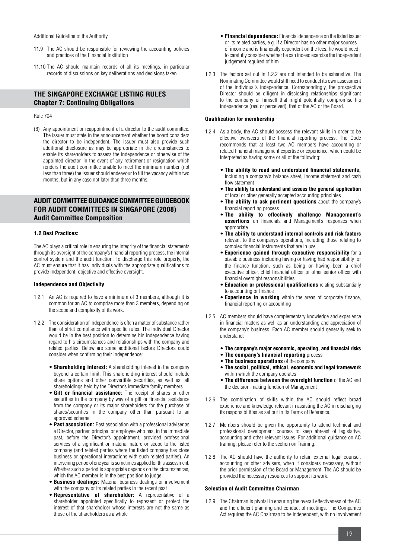Additional Guideline of the Authority

- 11.9 The AC should be responsible for reviewing the accounting policies and practices of the Financial Institution
- 11.10 The AC should maintain records of all its meetings, in particular records of discussions on key deliberations and decisions taken

#### **THE SINGAPORE EXCHANGE LISTING RULES Chapter 7: Continuing Obligations**

Rule 704

(8) Any appointment or reappointment of a director to the audit committee. The issuer must state in the announcement whether the board considers the director to be independent. The issuer must also provide such additional disclosure as may be appropriate in the circumstances to enable its shareholders to assess the independence or otherwise of the appointed director. In the event of any retirement or resignation which renders the audit committee unable to meet the minimum number (not less than three) the issuer should endeavour to fill the vacancy within two months, but in any case not later than three months.

#### **AUDIT COMMITTEE GUIDANCE COMMITTEE GUIDEBOOK FOR AUDIT COMMITTEES IN SINGAPORE (2008) Audit Committee Composition**

#### **1.2 Best Practices:**

The AC plays a critical role in ensuring the integrity of the financial statements through its oversight of the company's financial reporting process, the internal control system and the audit function. To discharge this role properly, the AC must ensure that it has individuals with the appropriate qualifications to provide independent, objective and effective oversight.

#### **Independence and Objectivity**

- 1.2.1 An AC is required to have a minimum of 3 members, although it is common for an AC to comprise more than 3 members, depending on the scope and complexity of its work.
- 1.2.2 The consideration of independence is often a matter of substance rather than of strict compliance with specific rules. The individual Director would be in the best position to determine his independence having regard to his circumstances and relationships with the company and related parties. Below are some additional factors Directors could consider when confirming their independence:
	- **Shareholding interest:** A shareholding interest in the company beyond a certain limit. This shareholding interest should include share options and other convertible securities, as well as, all shareholdings held by the Director's immediate family members
	- **Gift or financial assistance:** The receipt of shares or other securities in the company by way of a gift or financial assistance from the company or its major shareholders for the purchase of shares/securities in the company other than pursuant to an approved scheme
	- • **Past association:** Past association with a professional adviser as a Director, partner, principal or employee who has, in the immediate past, before the Director's appointment, provided professional services of a significant or material nature or scope to the listed company (and related parties where the listed company has close business or operational interactions with such related parties). An intervening period of one year is sometimes applied for this assessment. Whether such a period is appropriate depends on the circumstances, which the AC member is in the best position to judge
	- **Business dealings:** Material business dealings or involvement with the company or its related parties in the recent past
	- **Representative of shareholder:** A representative of a shareholder appointed specifically to represent or protect the interest of that shareholder whose interests are not the same as those of the shareholders as a whole
- **Financial dependence:** Financial dependence on the listed issuer or its related parties, e.g. if a Director has no other major sources of income and is financially dependent on the fees, he would need to carefully consider whether he can indeed exercise the independent judgement required of him
- 1.2.3 The factors set out in 1.2.2 are not intended to be exhaustive. The Nominating Committee would still need to conduct its own assessment of the individual's independence. Correspondingly, the prospective Director should be diligent in disclosing relationships significant to the company or himself that might potentially compromise his independence (real or perceived), that of the AC or the Board.

#### **Qualification for membership**

- 1.2.4 As a body, the AC should possess the relevant skills in order to be effective overseers of the financial reporting process. The Code recommends that at least two AC members have accounting or related financial management expertise or experience, which could be interpreted as having some or all of the following:
	- • **The ability to read and understand financial statements,** including a company's balance sheet, income statement and cash flow statement
	- • **The ability to understand and assess the general application** of local or other generally accepted accounting principles
	- **The ability to ask pertinent questions** about the company's financial reporting process
	- • **The ability to effectively challenge Management's assertions** on financials and Management's responses when appropriate
	- **The ability to understand internal controls and risk factors**  relevant to the company's operations, including those relating to complex financial instruments that are in use
	- **Experience gained through executive responsibility** for a sizeable business including having or having had responsibility for the finance function, such as being or having been a chief executive officer, chief financial officer or other senior officer with financial oversight responsibilities
	- • **Education or professional qualifications** relating substantially to accounting or finance
	- **Experience in working** within the areas of corporate finance, financial reporting or accounting
- 1.2.5 AC members should have complementary knowledge and experience in financial matters as well as an understanding and appreciation of the company's business. Each AC member should generally seek to understand:
	- • **The company's major economic, operating, and financial risks**
	- • **The company's financial reporting** process
	- • **The business operations** of the company
	- • **The social, political, ethical, economic and legal framework** within which the company operates
	- **The difference between the oversight function** of the AC and the decision-making function of Management
- 1.2.6 The combination of skills within the AC should reflect broad experience and knowledge relevant in assisting the AC in discharging its responsibilities as set out in its Terms of Reference.
- 1.2.7 Members should be given the opportunity to attend technical and professional development courses to keep abreast of legislative, accounting and other relevant issues. For additional guidance on AC training, please refer to the section on Training.
- 1.2.8 The AC should have the authority to retain external legal counsel, accounting or other advisers, when it considers necessary, without the prior permission of the Board or Management. The AC should be provided the necessary resources to support its work.

#### **Selection of Audit Committee Chairman**

1.2.9 The Chairman is pivotal in ensuring the overall effectiveness of the AC and the efficient planning and conduct of meetings. The Companies Act requires the AC Chairman to be independent, with no involvement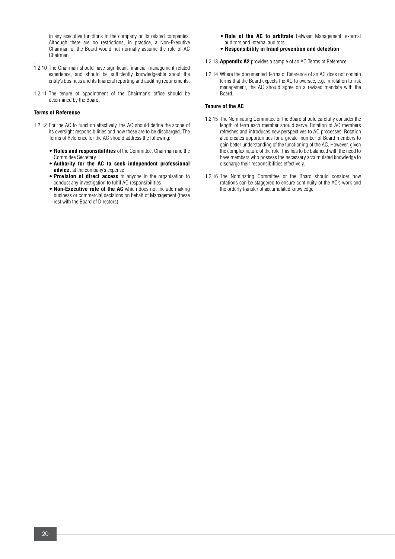in any executive functions in the company or its related companies. Although there are no restrictions, in practice, a Non-Executive Chairman of the Board would not normally assume the role of AC Chairman

- . 1.2.10 The Chairman should have significant financial management related experience, and should be sufficiently knowledgeable about the entity's business and its financial reporting and auditing requirements.
- 1.2.11 The tenure of appointment of the Chairman's office should be determined by the Board.

#### **Terms of Reference**

- 1.2.12 For the AC to function effectively, the AC should define the scope of its oversight responsibilities and how these are to be discharged. The Terms of Reference for the AC should address the following:
	- **Roles and responsibilities** of the Committee, Chairman and the Committee Secretary
	- • **Authority for the AC to seek independent professional advice,** at the company's expense
	- **Provision of direct access** to anyone in the organisation to conduct any investigation to fulfil AC responsibilities
	- **Non-Executive role of the AC** which does not include making business or commercial decisions on behalf of Management (these rest with the Board of Directors)
- • **Role of the AC to arbitrate** between Management, external auditors and internal auditors
- • **Responsibility in fraud prevention and detection**
- 1.2.13 **Appendix A2** provides a sample of an AC Terms of Reference.
- 1.2.14 Where the documented Terms of Reference of an AC does not contain terms that the Board expects the AC to oversee, e.g. in relation to risk management, the AC should agree on a revised mandate with the Board.

#### **Tenure of the AC**

- 1.2.15 The Nominating Committee or the Board should carefully consider the length of term each member should serve. Rotation of AC members refreshes and introduces new perspectives to AC processes. Rotation also creates opportunities for a greater number of Board members to gain better understanding of the functioning of the AC. However, given the complex nature of the role, this has to be balanced with the need to have members who possess the necessary accumulated knowledge to discharge their responsibilities effectively.
- 1.2.16 The Nominating Committee or the Board should consider how rotations can be staggered to ensure continuity of the AC's work and the orderly transfer of accumulated knowledge.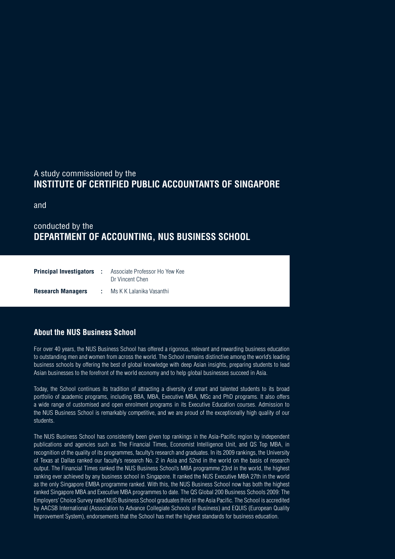### A study commissioned by the **INSTITUTE OF CERTIFIED PUBLIC ACCOUNTANTS OF SINGAPORE**

and

### conducted by the **DEPARTMENT OF ACCOUNTING, NUS BUSINESS SCHOOL**

| <b>Principal Investigators :</b> | Associate Professor Ho Yew Kee<br>Dr Vincent Chen |
|----------------------------------|---------------------------------------------------|
| <b>Research Managers</b>         | Ms K K Lalanika Vasanthi                          |

### **About the NUS Business School**

For over 40 years, the NUS Business School has offered a rigorous, relevant and rewarding business education to outstanding men and women from across the world. The School remains distinctive among the world's leading business schools by offering the best of global knowledge with deep Asian insights, preparing students to lead Asian businesses to the forefront of the world economy and to help global businesses succeed in Asia.

Today, the School continues its tradition of attracting a diversity of smart and talented students to its broad portfolio of academic programs, including BBA, MBA, Executive MBA, MSc and PhD programs. It also offers a wide range of customised and open enrolment programs in its Executive Education courses. Admission to the NUS Business School is remarkably competitive, and we are proud of the exceptionally high quality of our students.

The NUS Business School has consistently been given top rankings in the Asia-Pacific region by independent publications and agencies such as The Financial Times, Economist Intelligence Unit, and QS Top MBA, in recognition of the quality of its programmes, faculty's research and graduates. In its 2009 rankings, the University of Texas at Dallas ranked our faculty's research No. 2 in Asia and 52nd in the world on the basis of research output. The Financial Times ranked the NUS Business School's MBA programme 23rd in the world, the highest ranking ever achieved by any business school in Singapore. It ranked the NUS Executive MBA 27th in the world as the only Singapore EMBA programme ranked. With this, the NUS Business School now has both the highest ranked Singapore MBA and Executive MBA programmes to date. The QS Global 200 Business Schools 2009: The Employers' Choice Survey rated NUS Business School graduates third in the Asia Pacific. The School is accredited by AACSB International (Association to Advance Collegiate Schools of Business) and EQUIS (European Quality Improvement System), endorsements that the School has met the highest standards for business education.